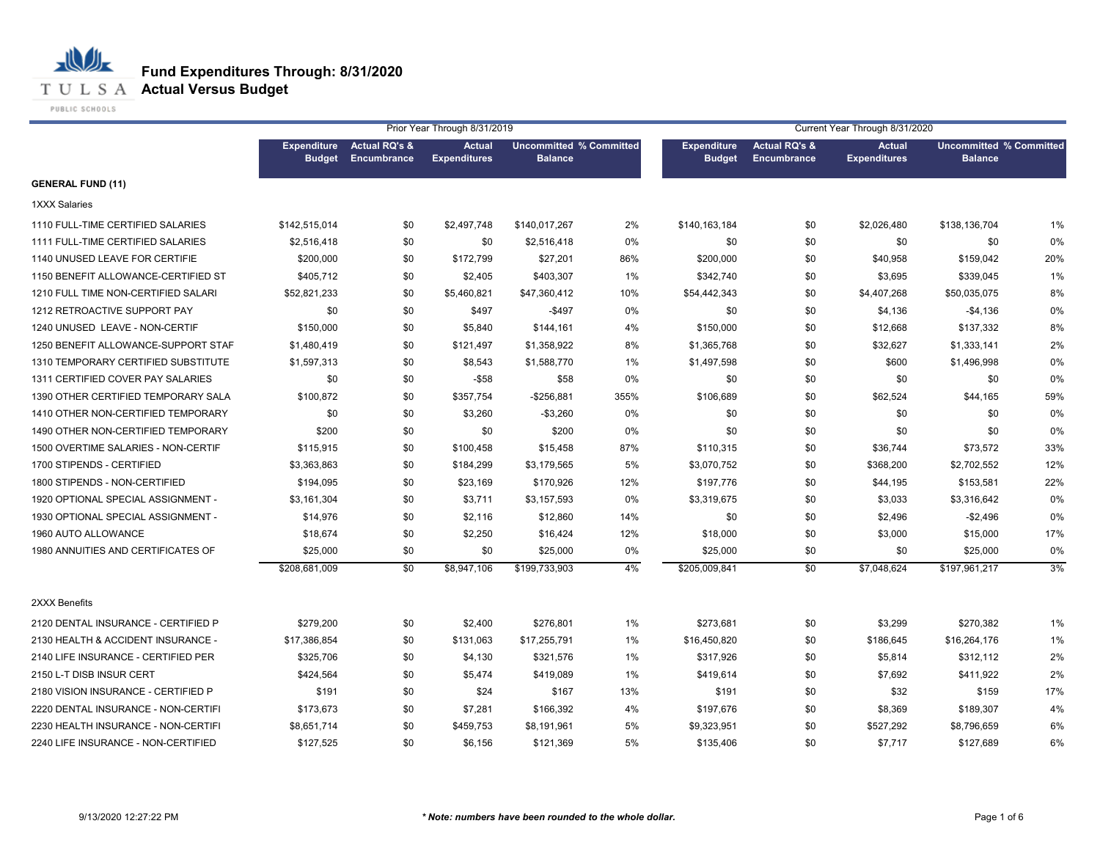#### **T U L S A Actual Versus Budget**

PUBLIC SCHOOLS

|                                     |                                     |                                                | Prior Year Through 8/31/2019         |                                                  |      | Current Year Through 8/31/2020      |                                         |                                      |                                                  |     |  |
|-------------------------------------|-------------------------------------|------------------------------------------------|--------------------------------------|--------------------------------------------------|------|-------------------------------------|-----------------------------------------|--------------------------------------|--------------------------------------------------|-----|--|
|                                     | <b>Expenditure</b><br><b>Budget</b> | <b>Actual RQ's &amp;</b><br><b>Encumbrance</b> | <b>Actual</b><br><b>Expenditures</b> | <b>Uncommitted % Committed</b><br><b>Balance</b> |      | <b>Expenditure</b><br><b>Budget</b> | <b>Actual RQ's &amp;</b><br>Encumbrance | <b>Actual</b><br><b>Expenditures</b> | <b>Uncommitted % Committed</b><br><b>Balance</b> |     |  |
| <b>GENERAL FUND (11)</b>            |                                     |                                                |                                      |                                                  |      |                                     |                                         |                                      |                                                  |     |  |
| 1XXX Salaries                       |                                     |                                                |                                      |                                                  |      |                                     |                                         |                                      |                                                  |     |  |
| 1110 FULL-TIME CERTIFIED SALARIES   | \$142,515,014                       | \$0                                            | \$2,497,748                          | \$140,017,267                                    | 2%   | \$140,163,184                       | \$0                                     | \$2,026,480                          | \$138,136,704                                    | 1%  |  |
| 1111 FULL-TIME CERTIFIED SALARIES   | \$2,516,418                         | \$0                                            | \$0                                  | \$2,516,418                                      | 0%   | \$0                                 | \$0                                     | \$0                                  | \$0                                              | 0%  |  |
| 1140 UNUSED LEAVE FOR CERTIFIE      | \$200,000                           | \$0                                            | \$172,799                            | \$27,201                                         | 86%  | \$200,000                           | \$0                                     | \$40,958                             | \$159,042                                        | 20% |  |
| 1150 BENEFIT ALLOWANCE-CERTIFIED ST | \$405,712                           | \$0                                            | \$2,405                              | \$403,307                                        | 1%   | \$342,740                           | \$0                                     | \$3,695                              | \$339,045                                        | 1%  |  |
| 1210 FULL TIME NON-CERTIFIED SALARI | \$52,821,233                        | \$0                                            | \$5,460,821                          | \$47,360,412                                     | 10%  | \$54,442,343                        | \$0                                     | \$4,407,268                          | \$50,035,075                                     | 8%  |  |
| 1212 RETROACTIVE SUPPORT PAY        | \$0                                 | \$0                                            | \$497                                | $-$497$                                          | 0%   | \$0                                 | \$0                                     | \$4,136                              | $-$4,136$                                        | 0%  |  |
| 1240 UNUSED LEAVE - NON-CERTIF      | \$150,000                           | \$0                                            | \$5,840                              | \$144,161                                        | 4%   | \$150,000                           | \$0                                     | \$12,668                             | \$137,332                                        | 8%  |  |
| 1250 BENEFIT ALLOWANCE-SUPPORT STAF | \$1,480,419                         | \$0                                            | \$121,497                            | \$1,358,922                                      | 8%   | \$1,365,768                         | \$0                                     | \$32,627                             | \$1,333,141                                      | 2%  |  |
| 1310 TEMPORARY CERTIFIED SUBSTITUTE | \$1,597,313                         | \$0                                            | \$8,543                              | \$1,588,770                                      | 1%   | \$1,497,598                         | \$0                                     | \$600                                | \$1,496,998                                      | 0%  |  |
| 1311 CERTIFIED COVER PAY SALARIES   | \$0                                 | \$0                                            | $-$ \$58                             | \$58                                             | 0%   | \$0                                 | \$0                                     | \$0                                  | \$0                                              | 0%  |  |
| 1390 OTHER CERTIFIED TEMPORARY SALA | \$100,872                           | \$0                                            | \$357,754                            | -\$256,881                                       | 355% | \$106,689                           | \$0                                     | \$62,524                             | \$44,165                                         | 59% |  |
| 1410 OTHER NON-CERTIFIED TEMPORARY  | \$0                                 | \$0                                            | \$3,260                              | $-$3,260$                                        | 0%   | \$0                                 | \$0                                     | \$0                                  | \$0                                              | 0%  |  |
| 1490 OTHER NON-CERTIFIED TEMPORARY  | \$200                               | \$0                                            | \$0                                  | \$200                                            | 0%   | \$0                                 | \$0                                     | \$0                                  | \$0                                              | 0%  |  |
| 1500 OVERTIME SALARIES - NON-CERTIF | \$115,915                           | \$0                                            | \$100,458                            | \$15,458                                         | 87%  | \$110,315                           | \$0                                     | \$36,744                             | \$73,572                                         | 33% |  |
| 1700 STIPENDS - CERTIFIED           | \$3,363,863                         | \$0                                            | \$184,299                            | \$3,179,565                                      | 5%   | \$3,070,752                         | \$0                                     | \$368,200                            | \$2,702,552                                      | 12% |  |
| 1800 STIPENDS - NON-CERTIFIED       | \$194,095                           | \$0                                            | \$23,169                             | \$170,926                                        | 12%  | \$197,776                           | \$0                                     | \$44,195                             | \$153,581                                        | 22% |  |
| 1920 OPTIONAL SPECIAL ASSIGNMENT -  | \$3,161,304                         | \$0                                            | \$3,711                              | \$3,157,593                                      | 0%   | \$3,319,675                         | \$0                                     | \$3,033                              | \$3,316,642                                      | 0%  |  |
| 1930 OPTIONAL SPECIAL ASSIGNMENT -  | \$14,976                            | \$0                                            | \$2,116                              | \$12,860                                         | 14%  | \$0                                 | \$0                                     | \$2,496                              | $-$2,496$                                        | 0%  |  |
| 1960 AUTO ALLOWANCE                 | \$18,674                            | \$0                                            | \$2,250                              | \$16,424                                         | 12%  | \$18,000                            | \$0                                     | \$3,000                              | \$15,000                                         | 17% |  |
| 1980 ANNUITIES AND CERTIFICATES OF  | \$25,000                            | \$0                                            | \$0                                  | \$25,000                                         | 0%   | \$25,000                            | \$0                                     | \$0                                  | \$25,000                                         | 0%  |  |
|                                     | \$208,681,009                       | \$0                                            | \$8,947,106                          | \$199,733,903                                    | 4%   | \$205,009,841                       | \$0                                     | \$7,048,624                          | \$197,961,217                                    | 3%  |  |
| 2XXX Benefits                       |                                     |                                                |                                      |                                                  |      |                                     |                                         |                                      |                                                  |     |  |
| 2120 DENTAL INSURANCE - CERTIFIED P | \$279,200                           | \$0                                            | \$2,400                              | \$276,801                                        | 1%   | \$273,681                           | \$0                                     | \$3,299                              | \$270,382                                        | 1%  |  |
| 2130 HEALTH & ACCIDENT INSURANCE -  | \$17,386,854                        | \$0                                            | \$131,063                            | \$17,255,791                                     | 1%   | \$16,450,820                        | \$0                                     | \$186,645                            | \$16,264,176                                     | 1%  |  |
| 2140 LIFE INSURANCE - CERTIFIED PER | \$325,706                           | \$0                                            | \$4,130                              | \$321,576                                        | 1%   | \$317,926                           | \$0                                     | \$5,814                              | \$312,112                                        | 2%  |  |
| 2150 L-T DISB INSUR CERT            | \$424,564                           | \$0                                            | \$5,474                              | \$419,089                                        | 1%   | \$419,614                           | \$0                                     | \$7,692                              | \$411,922                                        | 2%  |  |
| 2180 VISION INSURANCE - CERTIFIED P | \$191                               | \$0                                            | \$24                                 | \$167                                            | 13%  | \$191                               | \$0                                     | \$32                                 | \$159                                            | 17% |  |
| 2220 DENTAL INSURANCE - NON-CERTIFI | \$173,673                           | \$0                                            | \$7,281                              | \$166,392                                        | 4%   | \$197,676                           | \$0                                     | \$8,369                              | \$189,307                                        | 4%  |  |
| 2230 HEALTH INSURANCE - NON-CERTIFI | \$8,651,714                         | \$0                                            | \$459,753                            | \$8,191,961                                      | 5%   | \$9,323,951                         | \$0                                     | \$527,292                            | \$8,796,659                                      | 6%  |  |
| 2240 LIFE INSURANCE - NON-CERTIFIED | \$127,525                           | \$0                                            | \$6,156                              | \$121,369                                        | 5%   | \$135,406                           | \$0                                     | \$7,717                              | \$127.689                                        | 6%  |  |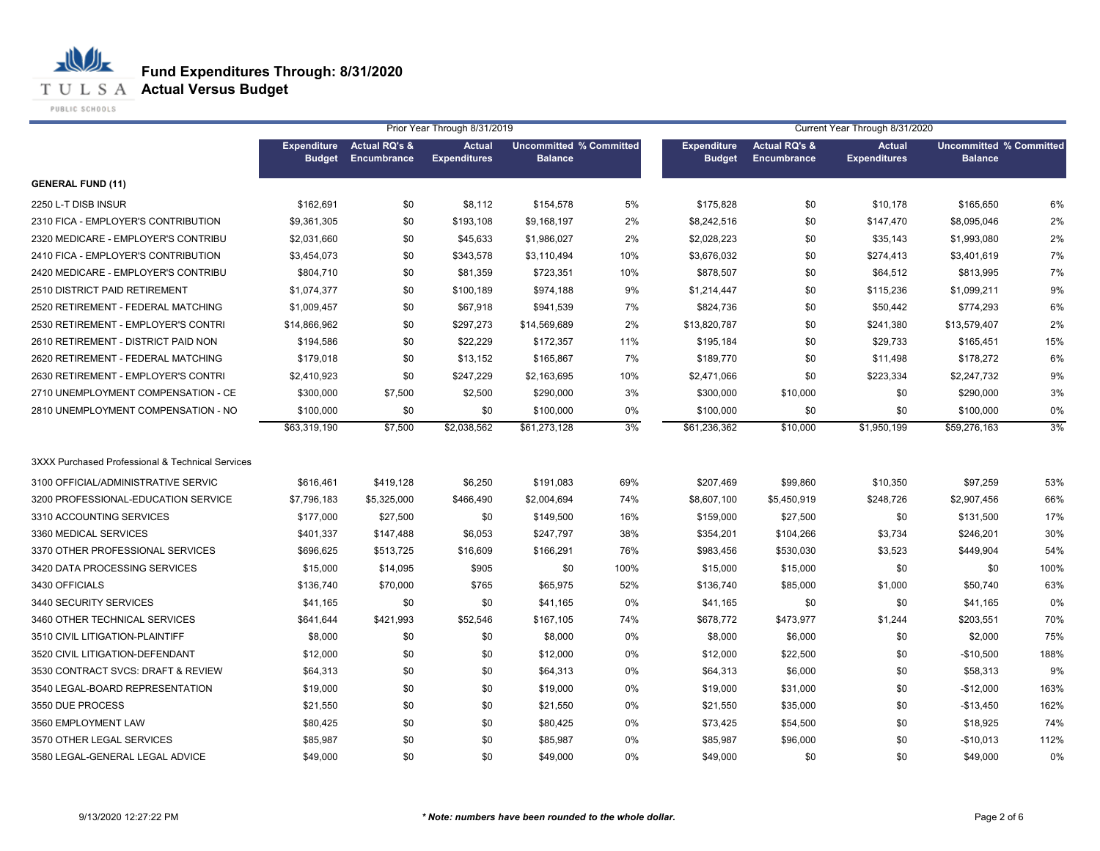**T U L S A Actual Versus Budget** 

PUBLIC SCHOOLS

|                                                  | Prior Year Through 8/31/2019<br>Current Year Through 8/31/2020 |                                         |                                      |                                                  |      |                                     |                                         |                                      |                                                  |      |
|--------------------------------------------------|----------------------------------------------------------------|-----------------------------------------|--------------------------------------|--------------------------------------------------|------|-------------------------------------|-----------------------------------------|--------------------------------------|--------------------------------------------------|------|
|                                                  | <b>Expenditure</b><br><b>Budget</b>                            | <b>Actual RQ's &amp;</b><br>Encumbrance | <b>Actual</b><br><b>Expenditures</b> | <b>Uncommitted % Committed</b><br><b>Balance</b> |      | <b>Expenditure</b><br><b>Budget</b> | <b>Actual RQ's &amp;</b><br>Encumbrance | <b>Actual</b><br><b>Expenditures</b> | <b>Uncommitted % Committed</b><br><b>Balance</b> |      |
| <b>GENERAL FUND (11)</b>                         |                                                                |                                         |                                      |                                                  |      |                                     |                                         |                                      |                                                  |      |
| 2250 L-T DISB INSUR                              | \$162,691                                                      | \$0                                     | \$8,112                              | \$154,578                                        | 5%   | \$175,828                           | \$0                                     | \$10,178                             | \$165,650                                        | 6%   |
| 2310 FICA - EMPLOYER'S CONTRIBUTION              | \$9,361,305                                                    | \$0                                     | \$193,108                            | \$9,168,197                                      | 2%   | \$8,242,516                         | \$0                                     | \$147,470                            | \$8,095,046                                      | 2%   |
| 2320 MEDICARE - EMPLOYER'S CONTRIBU              | \$2,031,660                                                    | \$0                                     | \$45,633                             | \$1,986,027                                      | 2%   | \$2,028,223                         | \$0                                     | \$35,143                             | \$1,993,080                                      | 2%   |
| 2410 FICA - EMPLOYER'S CONTRIBUTION              | \$3,454,073                                                    | \$0                                     | \$343,578                            | \$3,110,494                                      | 10%  | \$3,676,032                         | \$0                                     | \$274,413                            | \$3,401,619                                      | 7%   |
| 2420 MEDICARE - EMPLOYER'S CONTRIBU              | \$804,710                                                      | \$0                                     | \$81,359                             | \$723,351                                        | 10%  | \$878,507                           | \$0                                     | \$64,512                             | \$813,995                                        | 7%   |
| 2510 DISTRICT PAID RETIREMENT                    | \$1,074,377                                                    | \$0                                     | \$100,189                            | \$974,188                                        | 9%   | \$1,214,447                         | \$0                                     | \$115,236                            | \$1,099,211                                      | 9%   |
| 2520 RETIREMENT - FEDERAL MATCHING               | \$1,009,457                                                    | \$0                                     | \$67,918                             | \$941,539                                        | 7%   | \$824,736                           | \$0                                     | \$50,442                             | \$774,293                                        | 6%   |
| 2530 RETIREMENT - EMPLOYER'S CONTRI              | \$14,866,962                                                   | \$0                                     | \$297,273                            | \$14,569,689                                     | 2%   | \$13,820,787                        | \$0                                     | \$241,380                            | \$13,579,407                                     | 2%   |
| 2610 RETIREMENT - DISTRICT PAID NON              | \$194,586                                                      | \$0                                     | \$22,229                             | \$172,357                                        | 11%  | \$195,184                           | \$0                                     | \$29,733                             | \$165,451                                        | 15%  |
| 2620 RETIREMENT - FEDERAL MATCHING               | \$179,018                                                      | \$0                                     | \$13,152                             | \$165,867                                        | 7%   | \$189,770                           | \$0                                     | \$11,498                             | \$178,272                                        | 6%   |
| 2630 RETIREMENT - EMPLOYER'S CONTRI              | \$2,410,923                                                    | \$0                                     | \$247,229                            | \$2,163,695                                      | 10%  | \$2,471,066                         | \$0                                     | \$223,334                            | \$2,247,732                                      | 9%   |
| 2710 UNEMPLOYMENT COMPENSATION - CE              | \$300,000                                                      | \$7,500                                 | \$2,500                              | \$290,000                                        | 3%   | \$300,000                           | \$10,000                                | \$0                                  | \$290,000                                        | 3%   |
| 2810 UNEMPLOYMENT COMPENSATION - NO              | \$100,000                                                      | \$0                                     | \$0                                  | \$100,000                                        | 0%   | \$100,000                           | \$0                                     | \$0                                  | \$100,000                                        | 0%   |
|                                                  | \$63,319,190                                                   | \$7,500                                 | \$2,038,562                          | \$61,273,128                                     | 3%   | \$61,236,362                        | \$10,000                                | \$1,950,199                          | \$59,276,163                                     | 3%   |
| 3XXX Purchased Professional & Technical Services |                                                                |                                         |                                      |                                                  |      |                                     |                                         |                                      |                                                  |      |
| 3100 OFFICIAL/ADMINISTRATIVE SERVIC              | \$616,461                                                      | \$419,128                               | \$6,250                              | \$191,083                                        | 69%  | \$207,469                           | \$99,860                                | \$10,350                             | \$97,259                                         | 53%  |
| 3200 PROFESSIONAL-EDUCATION SERVICE              | \$7,796,183                                                    | \$5,325,000                             | \$466,490                            | \$2,004,694                                      | 74%  | \$8,607,100                         | \$5,450,919                             | \$248,726                            | \$2,907,456                                      | 66%  |
| 3310 ACCOUNTING SERVICES                         | \$177,000                                                      | \$27,500                                | \$0                                  | \$149,500                                        | 16%  | \$159,000                           | \$27,500                                | \$0                                  | \$131,500                                        | 17%  |
| 3360 MEDICAL SERVICES                            | \$401,337                                                      | \$147,488                               | \$6,053                              | \$247,797                                        | 38%  | \$354,201                           | \$104,266                               | \$3,734                              | \$246,201                                        | 30%  |
| 3370 OTHER PROFESSIONAL SERVICES                 | \$696,625                                                      | \$513,725                               | \$16,609                             | \$166,291                                        | 76%  | \$983,456                           | \$530,030                               | \$3,523                              | \$449,904                                        | 54%  |
| 3420 DATA PROCESSING SERVICES                    | \$15,000                                                       | \$14,095                                | \$905                                | \$0                                              | 100% | \$15,000                            | \$15,000                                | \$0                                  | \$0                                              | 100% |
| 3430 OFFICIALS                                   | \$136,740                                                      | \$70,000                                | \$765                                | \$65,975                                         | 52%  | \$136,740                           | \$85,000                                | \$1,000                              | \$50,740                                         | 63%  |
| 3440 SECURITY SERVICES                           | \$41,165                                                       | \$0                                     | \$0                                  | \$41,165                                         | 0%   | \$41,165                            | \$0                                     | \$0                                  | \$41,165                                         | 0%   |
| 3460 OTHER TECHNICAL SERVICES                    | \$641,644                                                      | \$421,993                               | \$52,546                             | \$167,105                                        | 74%  | \$678,772                           | \$473,977                               | \$1,244                              | \$203,551                                        | 70%  |
| 3510 CIVIL LITIGATION-PLAINTIFF                  | \$8,000                                                        | \$0                                     | \$0                                  | \$8,000                                          | 0%   | \$8,000                             | \$6,000                                 | \$0                                  | \$2,000                                          | 75%  |
| 3520 CIVIL LITIGATION-DEFENDANT                  | \$12,000                                                       | \$0                                     | \$0                                  | \$12,000                                         | 0%   | \$12,000                            | \$22,500                                | \$0                                  | $-$10,500$                                       | 188% |
| 3530 CONTRACT SVCS: DRAFT & REVIEW               | \$64,313                                                       | \$0                                     | \$0                                  | \$64,313                                         | 0%   | \$64,313                            | \$6,000                                 | \$0                                  | \$58,313                                         | 9%   |
| 3540 LEGAL-BOARD REPRESENTATION                  | \$19,000                                                       | \$0                                     | \$0                                  | \$19,000                                         | 0%   | \$19,000                            | \$31,000                                | \$0                                  | $-$12,000$                                       | 163% |
| 3550 DUE PROCESS                                 | \$21,550                                                       | \$0                                     | \$0                                  | \$21,550                                         | 0%   | \$21,550                            | \$35,000                                | \$0                                  | $-$13,450$                                       | 162% |
| 3560 EMPLOYMENT LAW                              | \$80,425                                                       | \$0                                     | \$0                                  | \$80,425                                         | 0%   | \$73,425                            | \$54,500                                | \$0                                  | \$18,925                                         | 74%  |
| 3570 OTHER LEGAL SERVICES                        | \$85,987                                                       | \$0                                     | \$0                                  | \$85,987                                         | 0%   | \$85,987                            | \$96,000                                | \$0                                  | $-$10,013$                                       | 112% |
| 3580 LEGAL-GENERAL LEGAL ADVICE                  | \$49,000                                                       | \$0                                     | \$0                                  | \$49,000                                         | 0%   | \$49,000                            | \$0                                     | \$0                                  | \$49,000                                         | 0%   |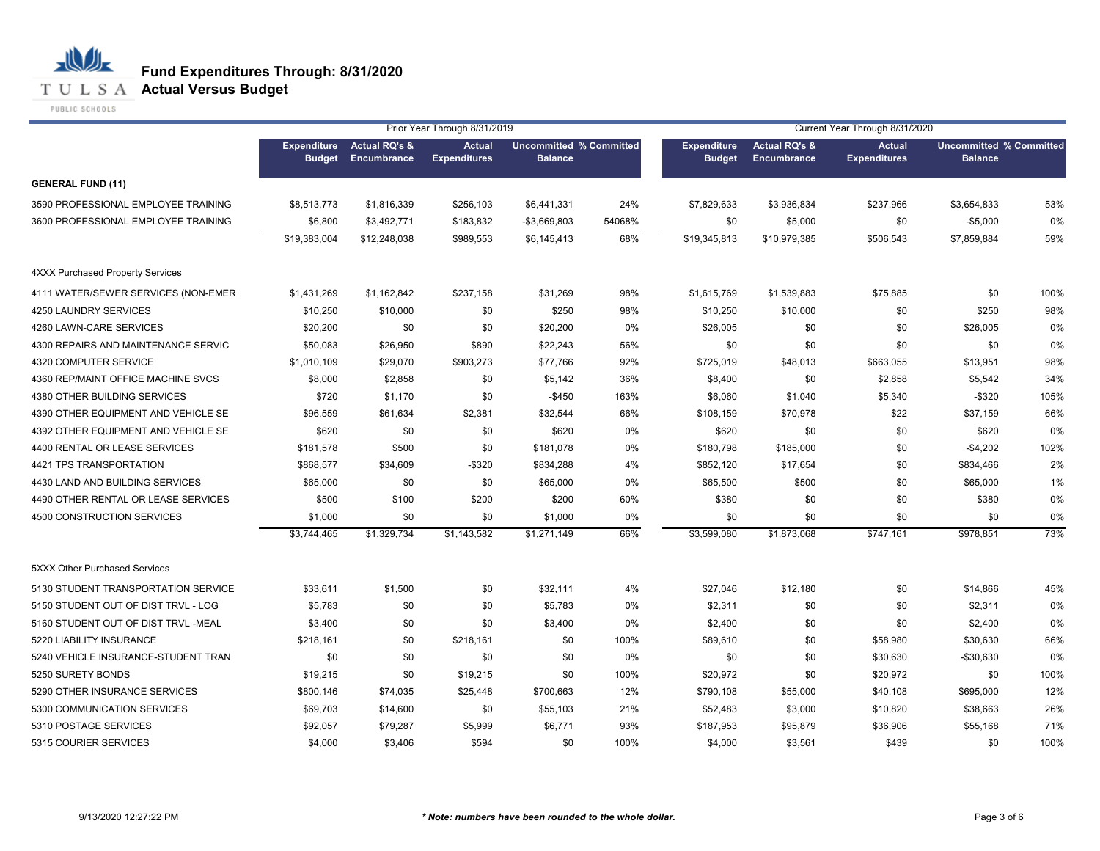**T U L S A Actual Versus Budget** 

PUBLIC SCHOOLS

|                                         |                                     |                                         | Prior Year Through 8/31/2019         |                                                  |        |                                     |                                         | Current Year Through 8/31/2020       |                                                  |      |
|-----------------------------------------|-------------------------------------|-----------------------------------------|--------------------------------------|--------------------------------------------------|--------|-------------------------------------|-----------------------------------------|--------------------------------------|--------------------------------------------------|------|
|                                         | <b>Expenditure</b><br><b>Budget</b> | <b>Actual RQ's &amp;</b><br>Encumbrance | <b>Actual</b><br><b>Expenditures</b> | <b>Uncommitted % Committed</b><br><b>Balance</b> |        | <b>Expenditure</b><br><b>Budget</b> | <b>Actual RQ's &amp;</b><br>Encumbrance | <b>Actual</b><br><b>Expenditures</b> | <b>Uncommitted % Committed</b><br><b>Balance</b> |      |
| <b>GENERAL FUND (11)</b>                |                                     |                                         |                                      |                                                  |        |                                     |                                         |                                      |                                                  |      |
| 3590 PROFESSIONAL EMPLOYEE TRAINING     | \$8,513,773                         | \$1,816,339                             | \$256,103                            | \$6,441,331                                      | 24%    | \$7,829,633                         | \$3,936,834                             | \$237,966                            | \$3,654,833                                      | 53%  |
| 3600 PROFESSIONAL EMPLOYEE TRAINING     | \$6,800                             | \$3,492,771                             | \$183,832                            | -\$3,669,803                                     | 54068% | \$0                                 | \$5,000                                 | \$0                                  | $-$5,000$                                        | 0%   |
|                                         | \$19,383,004                        | \$12,248,038                            | \$989,553                            | \$6,145,413                                      | 68%    | \$19,345,813                        | \$10,979,385                            | \$506,543                            | \$7,859,884                                      | 59%  |
| <b>4XXX Purchased Property Services</b> |                                     |                                         |                                      |                                                  |        |                                     |                                         |                                      |                                                  |      |
| 4111 WATER/SEWER SERVICES (NON-EMER     | \$1,431,269                         | \$1,162,842                             | \$237,158                            | \$31,269                                         | 98%    | \$1,615,769                         | \$1,539,883                             | \$75,885                             | \$0                                              | 100% |
| 4250 LAUNDRY SERVICES                   | \$10,250                            | \$10,000                                | \$0                                  | \$250                                            | 98%    | \$10,250                            | \$10,000                                | \$0                                  | \$250                                            | 98%  |
| 4260 LAWN-CARE SERVICES                 | \$20,200                            | \$0                                     | \$0                                  | \$20,200                                         | 0%     | \$26,005                            | \$0                                     | \$0                                  | \$26,005                                         | 0%   |
| 4300 REPAIRS AND MAINTENANCE SERVIC     | \$50,083                            | \$26,950                                | \$890                                | \$22,243                                         | 56%    | \$0                                 | \$0                                     | \$0                                  | \$0                                              | 0%   |
| 4320 COMPUTER SERVICE                   | \$1,010,109                         | \$29,070                                | \$903,273                            | \$77,766                                         | 92%    | \$725,019                           | \$48,013                                | \$663,055                            | \$13,951                                         | 98%  |
| 4360 REP/MAINT OFFICE MACHINE SVCS      | \$8,000                             | \$2,858                                 | \$0                                  | \$5,142                                          | 36%    | \$8,400                             | \$0                                     | \$2,858                              | \$5,542                                          | 34%  |
| 4380 OTHER BUILDING SERVICES            | \$720                               | \$1,170                                 | \$0                                  | $-$450$                                          | 163%   | \$6,060                             | \$1,040                                 | \$5,340                              | $-$ \$320                                        | 105% |
| 4390 OTHER EQUIPMENT AND VEHICLE SE     | \$96,559                            | \$61,634                                | \$2,381                              | \$32,544                                         | 66%    | \$108,159                           | \$70,978                                | \$22                                 | \$37,159                                         | 66%  |
| 4392 OTHER EQUIPMENT AND VEHICLE SE     | \$620                               | \$0                                     | \$0                                  | \$620                                            | 0%     | \$620                               | \$0                                     | \$0                                  | \$620                                            | 0%   |
| 4400 RENTAL OR LEASE SERVICES           | \$181,578                           | \$500                                   | \$0                                  | \$181,078                                        | 0%     | \$180,798                           | \$185,000                               | \$0                                  | $-$4,202$                                        | 102% |
| 4421 TPS TRANSPORTATION                 | \$868,577                           | \$34,609                                | $-$ \$320                            | \$834,288                                        | 4%     | \$852,120                           | \$17,654                                | \$0                                  | \$834,466                                        | 2%   |
| 4430 LAND AND BUILDING SERVICES         | \$65,000                            | \$0                                     | \$0                                  | \$65,000                                         | 0%     | \$65,500                            | \$500                                   | \$0                                  | \$65,000                                         | 1%   |
| 4490 OTHER RENTAL OR LEASE SERVICES     | \$500                               | \$100                                   | \$200                                | \$200                                            | 60%    | \$380                               | \$0                                     | \$0                                  | \$380                                            | 0%   |
| 4500 CONSTRUCTION SERVICES              | \$1,000                             | \$0                                     | \$0                                  | \$1,000                                          | 0%     | \$0                                 | \$0                                     | \$0                                  | \$0                                              | 0%   |
|                                         | \$3,744,465                         | \$1,329,734                             | \$1,143,582                          | \$1,271,149                                      | 66%    | \$3,599,080                         | \$1,873,068                             | \$747,161                            | \$978,851                                        | 73%  |
| 5XXX Other Purchased Services           |                                     |                                         |                                      |                                                  |        |                                     |                                         |                                      |                                                  |      |
| 5130 STUDENT TRANSPORTATION SERVICE     | \$33,611                            | \$1,500                                 | \$0                                  | \$32,111                                         | 4%     | \$27,046                            | \$12,180                                | \$0                                  | \$14,866                                         | 45%  |
| 5150 STUDENT OUT OF DIST TRVL - LOG     | \$5,783                             | \$0                                     | \$0                                  | \$5,783                                          | 0%     | \$2,311                             | \$0                                     | \$0                                  | \$2,311                                          | 0%   |
| 5160 STUDENT OUT OF DIST TRVL -MEAL     | \$3,400                             | \$0                                     | \$0                                  | \$3,400                                          | 0%     | \$2,400                             | \$0                                     | \$0                                  | \$2,400                                          | 0%   |
| 5220 LIABILITY INSURANCE                | \$218,161                           | \$0                                     | \$218,161                            | \$0                                              | 100%   | \$89,610                            | \$0                                     | \$58,980                             | \$30,630                                         | 66%  |
| 5240 VEHICLE INSURANCE-STUDENT TRAN     | \$0                                 | \$0                                     | \$0                                  | \$0                                              | 0%     | \$0                                 | \$0                                     | \$30,630                             | $-$30,630$                                       | 0%   |
| 5250 SURETY BONDS                       | \$19,215                            | \$0                                     | \$19,215                             | \$0                                              | 100%   | \$20,972                            | \$0                                     | \$20,972                             | \$0                                              | 100% |
| 5290 OTHER INSURANCE SERVICES           | \$800,146                           | \$74,035                                | \$25,448                             | \$700,663                                        | 12%    | \$790,108                           | \$55,000                                | \$40,108                             | \$695,000                                        | 12%  |
| 5300 COMMUNICATION SERVICES             | \$69,703                            | \$14,600                                | \$0                                  | \$55,103                                         | 21%    | \$52,483                            | \$3,000                                 | \$10,820                             | \$38,663                                         | 26%  |
| 5310 POSTAGE SERVICES                   | \$92,057                            | \$79,287                                | \$5,999                              | \$6,771                                          | 93%    | \$187,953                           | \$95,879                                | \$36,906                             | \$55,168                                         | 71%  |
| 5315 COURIER SERVICES                   | \$4,000                             | \$3,406                                 | \$594                                | \$0                                              | 100%   | \$4,000                             | \$3,561                                 | \$439                                | \$0                                              | 100% |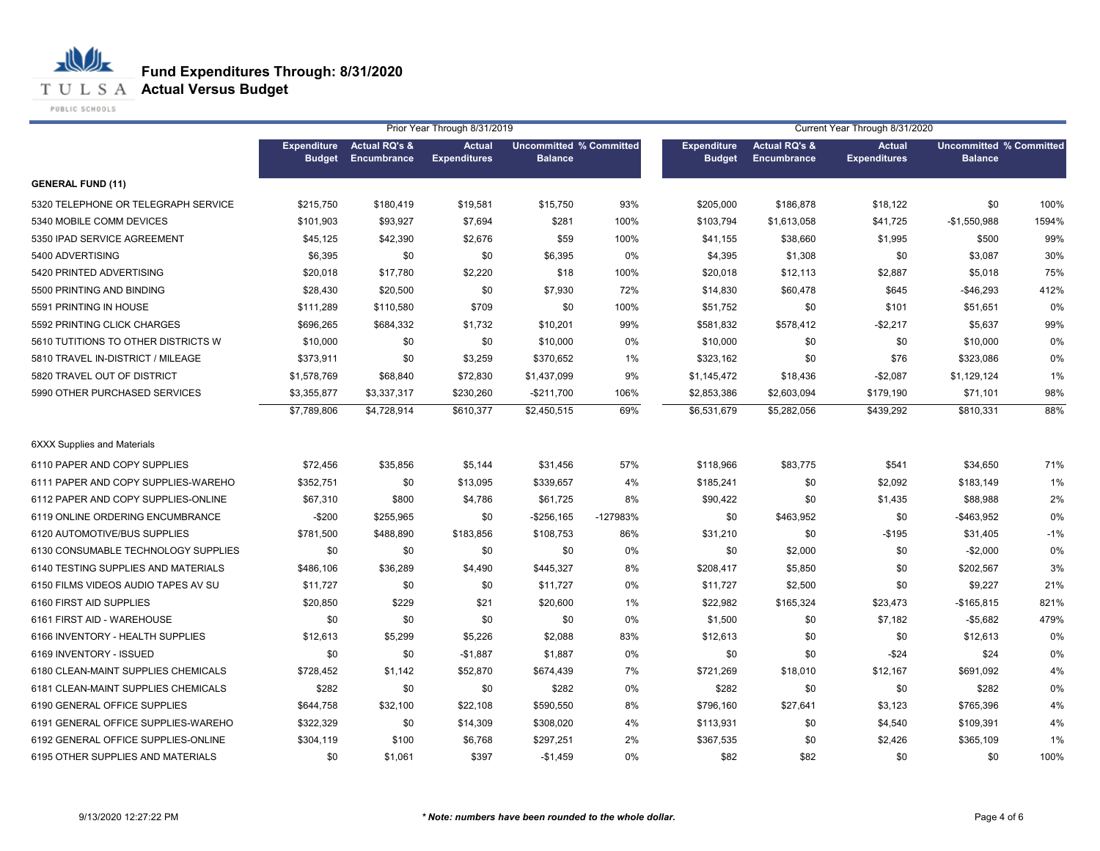**T U L S A Actual Versus Budget** 

PUBLIC SCHOOLS

|                                     | Prior Year Through 8/31/2019        |                                         |                                      |                                                  |          |                                     |                                                | Current Year Through 8/31/2020       |                                                  |       |
|-------------------------------------|-------------------------------------|-----------------------------------------|--------------------------------------|--------------------------------------------------|----------|-------------------------------------|------------------------------------------------|--------------------------------------|--------------------------------------------------|-------|
|                                     | <b>Expenditure</b><br><b>Budget</b> | <b>Actual RQ's &amp;</b><br>Encumbrance | <b>Actual</b><br><b>Expenditures</b> | <b>Uncommitted % Committed</b><br><b>Balance</b> |          | <b>Expenditure</b><br><b>Budget</b> | <b>Actual RQ's &amp;</b><br><b>Encumbrance</b> | <b>Actual</b><br><b>Expenditures</b> | <b>Uncommitted % Committed</b><br><b>Balance</b> |       |
| <b>GENERAL FUND (11)</b>            |                                     |                                         |                                      |                                                  |          |                                     |                                                |                                      |                                                  |       |
| 5320 TELEPHONE OR TELEGRAPH SERVICE | \$215,750                           | \$180,419                               | \$19,581                             | \$15,750                                         | 93%      | \$205,000                           | \$186,878                                      | \$18,122                             | \$0                                              | 100%  |
| 5340 MOBILE COMM DEVICES            | \$101,903                           | \$93,927                                | \$7,694                              | \$281                                            | 100%     | \$103,794                           | \$1,613,058                                    | \$41,725                             | $-$1,550,988$                                    | 1594% |
| 5350 IPAD SERVICE AGREEMENT         | \$45,125                            | \$42,390                                | \$2,676                              | \$59                                             | 100%     | \$41,155                            | \$38,660                                       | \$1,995                              | \$500                                            | 99%   |
| 5400 ADVERTISING                    | \$6,395                             | \$0                                     | \$0                                  | \$6,395                                          | 0%       | \$4,395                             | \$1,308                                        | \$0                                  | \$3,087                                          | 30%   |
| 5420 PRINTED ADVERTISING            | \$20,018                            | \$17,780                                | \$2,220                              | \$18                                             | 100%     | \$20,018                            | \$12,113                                       | \$2,887                              | \$5,018                                          | 75%   |
| 5500 PRINTING AND BINDING           | \$28,430                            | \$20,500                                | \$0                                  | \$7,930                                          | 72%      | \$14,830                            | \$60,478                                       | \$645                                | $-$46,293$                                       | 412%  |
| 5591 PRINTING IN HOUSE              | \$111,289                           | \$110,580                               | \$709                                | \$0                                              | 100%     | \$51,752                            | \$0                                            | \$101                                | \$51,651                                         | 0%    |
| 5592 PRINTING CLICK CHARGES         | \$696,265                           | \$684,332                               | \$1,732                              | \$10,201                                         | 99%      | \$581,832                           | \$578,412                                      | $-$2,217$                            | \$5,637                                          | 99%   |
| 5610 TUTITIONS TO OTHER DISTRICTS W | \$10,000                            | \$0                                     | \$0                                  | \$10,000                                         | 0%       | \$10,000                            | \$0                                            | \$0                                  | \$10,000                                         | 0%    |
| 5810 TRAVEL IN-DISTRICT / MILEAGE   | \$373,911                           | \$0                                     | \$3,259                              | \$370,652                                        | 1%       | \$323,162                           | \$0                                            | \$76                                 | \$323,086                                        | 0%    |
| 5820 TRAVEL OUT OF DISTRICT         | \$1,578,769                         | \$68,840                                | \$72,830                             | \$1,437,099                                      | 9%       | \$1,145,472                         | \$18,436                                       | $-$2,087$                            | \$1,129,124                                      | 1%    |
| 5990 OTHER PURCHASED SERVICES       | \$3,355,877                         | \$3,337,317                             | \$230,260                            | $-$211,700$                                      | 106%     | \$2,853,386                         | \$2,603,094                                    | \$179,190                            | \$71,101                                         | 98%   |
|                                     | \$7,789,806                         | \$4,728,914                             | \$610,377                            | \$2,450,515                                      | 69%      | \$6,531,679                         | \$5,282,056                                    | \$439,292                            | \$810,331                                        | 88%   |
| <b>6XXX Supplies and Materials</b>  |                                     |                                         |                                      |                                                  |          |                                     |                                                |                                      |                                                  |       |
| 6110 PAPER AND COPY SUPPLIES        | \$72,456                            | \$35,856                                | \$5,144                              | \$31,456                                         | 57%      | \$118,966                           | \$83,775                                       | \$541                                | \$34,650                                         | 71%   |
| 6111 PAPER AND COPY SUPPLIES-WAREHO | \$352,751                           | \$0                                     | \$13,095                             | \$339,657                                        | 4%       | \$185,241                           | \$0                                            | \$2,092                              | \$183,149                                        | 1%    |
| 6112 PAPER AND COPY SUPPLIES-ONLINE | \$67,310                            | \$800                                   | \$4,786                              | \$61,725                                         | 8%       | \$90,422                            | \$0                                            | \$1,435                              | \$88,988                                         | 2%    |
| 6119 ONLINE ORDERING ENCUMBRANCE    | $-$200$                             | \$255,965                               | \$0                                  | $-$ \$256,165                                    | -127983% | \$0                                 | \$463,952                                      | \$0                                  | -\$463,952                                       | 0%    |
| 6120 AUTOMOTIVE/BUS SUPPLIES        | \$781,500                           | \$488,890                               | \$183,856                            | \$108,753                                        | 86%      | \$31,210                            | \$0                                            | $-$195$                              | \$31,405                                         | $-1%$ |
| 6130 CONSUMABLE TECHNOLOGY SUPPLIES | \$0                                 | \$0                                     | \$0                                  | \$0                                              | 0%       | \$0                                 | \$2,000                                        | \$0                                  | $-$2,000$                                        | 0%    |
| 6140 TESTING SUPPLIES AND MATERIALS | \$486,106                           | \$36,289                                | \$4,490                              | \$445,327                                        | 8%       | \$208,417                           | \$5,850                                        | \$0                                  | \$202,567                                        | 3%    |
| 6150 FILMS VIDEOS AUDIO TAPES AV SU | \$11,727                            | \$0                                     | \$0                                  | \$11,727                                         | 0%       | \$11,727                            | \$2,500                                        | \$0                                  | \$9,227                                          | 21%   |
| 6160 FIRST AID SUPPLIES             | \$20,850                            | \$229                                   | \$21                                 | \$20,600                                         | 1%       | \$22,982                            | \$165,324                                      | \$23,473                             | $-$165,815$                                      | 821%  |
| 6161 FIRST AID - WAREHOUSE          | \$0                                 | \$0                                     | \$0                                  | \$0                                              | 0%       | \$1,500                             | \$0                                            | \$7,182                              | -\$5.682                                         | 479%  |
| 6166 INVENTORY - HEALTH SUPPLIES    | \$12,613                            | \$5,299                                 | \$5,226                              | \$2,088                                          | 83%      | \$12,613                            | \$0                                            | \$0                                  | \$12,613                                         | 0%    |
| 6169 INVENTORY - ISSUED             | \$0                                 | \$0                                     | $-$1,887$                            | \$1,887                                          | 0%       | \$0                                 | \$0                                            | $-$ \$24                             | \$24                                             | 0%    |
| 6180 CLEAN-MAINT SUPPLIES CHEMICALS | \$728,452                           | \$1,142                                 | \$52,870                             | \$674,439                                        | 7%       | \$721,269                           | \$18,010                                       | \$12,167                             | \$691,092                                        | 4%    |
| 6181 CLEAN-MAINT SUPPLIES CHEMICALS | \$282                               | \$0                                     | \$0                                  | \$282                                            | 0%       | \$282                               | \$0                                            | \$0                                  | \$282                                            | 0%    |
| 6190 GENERAL OFFICE SUPPLIES        | \$644,758                           | \$32,100                                | \$22,108                             | \$590,550                                        | 8%       | \$796,160                           | \$27,641                                       | \$3,123                              | \$765.396                                        | 4%    |
| 6191 GENERAL OFFICE SUPPLIES-WAREHO | \$322,329                           | \$0                                     | \$14,309                             | \$308,020                                        | 4%       | \$113,931                           | \$0                                            | \$4,540                              | \$109,391                                        | 4%    |
| 6192 GENERAL OFFICE SUPPLIES-ONLINE | \$304,119                           | \$100                                   | \$6,768                              | \$297,251                                        | 2%       | \$367,535                           | \$0                                            | \$2,426                              | \$365,109                                        | 1%    |
| 6195 OTHER SUPPLIES AND MATERIALS   | \$0                                 | \$1,061                                 | \$397                                | $-$1,459$                                        | 0%       | \$82                                | \$82                                           | \$0                                  | \$0                                              | 100%  |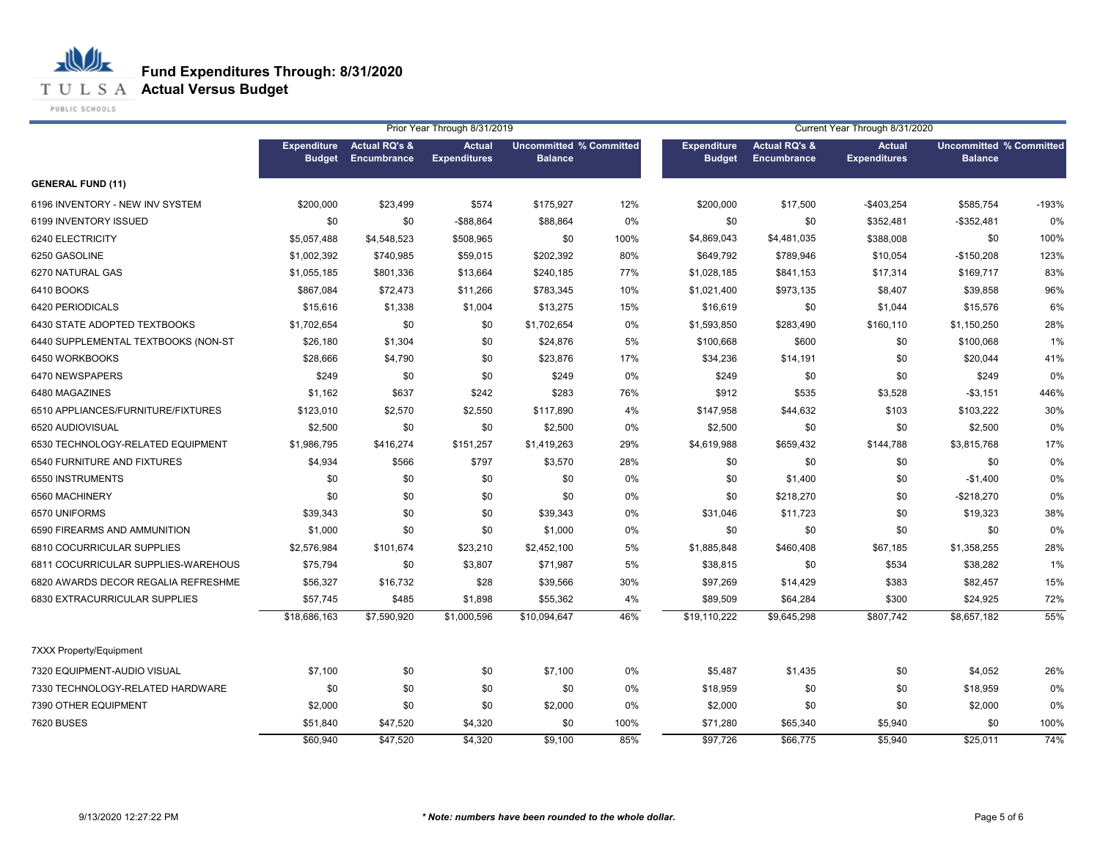**T U L S A Actual Versus Budget** 

PUBLIC SCHOOLS

|                                     | Prior Year Through 8/31/2019<br>Current Year Through 8/31/2020 |                                                       |                                      |                                                  |      |                                     |                                         |                                      |                                                  |         |
|-------------------------------------|----------------------------------------------------------------|-------------------------------------------------------|--------------------------------------|--------------------------------------------------|------|-------------------------------------|-----------------------------------------|--------------------------------------|--------------------------------------------------|---------|
|                                     | <b>Expenditure</b>                                             | <b>Actual RQ's &amp;</b><br><b>Budget Encumbrance</b> | <b>Actual</b><br><b>Expenditures</b> | <b>Uncommitted % Committed</b><br><b>Balance</b> |      | <b>Expenditure</b><br><b>Budget</b> | <b>Actual RQ's &amp;</b><br>Encumbrance | <b>Actual</b><br><b>Expenditures</b> | <b>Uncommitted % Committed</b><br><b>Balance</b> |         |
| <b>GENERAL FUND (11)</b>            |                                                                |                                                       |                                      |                                                  |      |                                     |                                         |                                      |                                                  |         |
| 6196 INVENTORY - NEW INV SYSTEM     | \$200,000                                                      | \$23,499                                              | \$574                                | \$175,927                                        | 12%  | \$200,000                           | \$17,500                                | $-$403,254$                          | \$585,754                                        | $-193%$ |
| 6199 INVENTORY ISSUED               | \$0                                                            | \$0                                                   | -\$88,864                            | \$88,864                                         | 0%   | \$0                                 | \$0                                     | \$352,481                            | $-$352,481$                                      | 0%      |
| 6240 ELECTRICITY                    | \$5,057,488                                                    | \$4,548,523                                           | \$508,965                            | \$0                                              | 100% | \$4,869,043                         | \$4,481,035                             | \$388,008                            | \$0                                              | 100%    |
| 6250 GASOLINE                       | \$1,002,392                                                    | \$740,985                                             | \$59,015                             | \$202,392                                        | 80%  | \$649,792                           | \$789,946                               | \$10,054                             | $-$150,208$                                      | 123%    |
| 6270 NATURAL GAS                    | \$1,055,185                                                    | \$801,336                                             | \$13,664                             | \$240,185                                        | 77%  | \$1,028,185                         | \$841,153                               | \$17,314                             | \$169,717                                        | 83%     |
| 6410 BOOKS                          | \$867,084                                                      | \$72,473                                              | \$11,266                             | \$783,345                                        | 10%  | \$1,021,400                         | \$973,135                               | \$8,407                              | \$39,858                                         | 96%     |
| 6420 PERIODICALS                    | \$15,616                                                       | \$1,338                                               | \$1,004                              | \$13,275                                         | 15%  | \$16,619                            | \$0                                     | \$1,044                              | \$15,576                                         | 6%      |
| 6430 STATE ADOPTED TEXTBOOKS        | \$1,702,654                                                    | \$0                                                   | \$0                                  | \$1,702,654                                      | 0%   | \$1,593,850                         | \$283,490                               | \$160,110                            | \$1,150,250                                      | 28%     |
| 6440 SUPPLEMENTAL TEXTBOOKS (NON-ST | \$26,180                                                       | \$1,304                                               | \$0                                  | \$24,876                                         | 5%   | \$100,668                           | \$600                                   | \$0                                  | \$100,068                                        | 1%      |
| 6450 WORKBOOKS                      | \$28,666                                                       | \$4,790                                               | \$0                                  | \$23,876                                         | 17%  | \$34,236                            | \$14,191                                | \$0                                  | \$20,044                                         | 41%     |
| 6470 NEWSPAPERS                     | \$249                                                          | \$0                                                   | \$0                                  | \$249                                            | 0%   | \$249                               | \$0                                     | \$0                                  | \$249                                            | 0%      |
| 6480 MAGAZINES                      | \$1,162                                                        | \$637                                                 | \$242                                | \$283                                            | 76%  | \$912                               | \$535                                   | \$3,528                              | $-$3,151$                                        | 446%    |
| 6510 APPLIANCES/FURNITURE/FIXTURES  | \$123,010                                                      | \$2,570                                               | \$2,550                              | \$117,890                                        | 4%   | \$147,958                           | \$44,632                                | \$103                                | \$103.222                                        | 30%     |
| 6520 AUDIOVISUAL                    | \$2,500                                                        | \$0                                                   | \$0                                  | \$2,500                                          | 0%   | \$2,500                             | \$0                                     | \$0                                  | \$2,500                                          | 0%      |
| 6530 TECHNOLOGY-RELATED EQUIPMENT   | \$1,986,795                                                    | \$416,274                                             | \$151,257                            | \$1,419,263                                      | 29%  | \$4,619,988                         | \$659,432                               | \$144,788                            | \$3,815,768                                      | 17%     |
| 6540 FURNITURE AND FIXTURES         | \$4,934                                                        | \$566                                                 | \$797                                | \$3,570                                          | 28%  | \$0                                 | \$0                                     | \$0                                  | \$0                                              | 0%      |
| 6550 INSTRUMENTS                    | \$0                                                            | \$0                                                   | \$0                                  | \$0                                              | 0%   | \$0                                 | \$1,400                                 | \$0                                  | $-$1,400$                                        | 0%      |
| 6560 MACHINERY                      | \$0                                                            | \$0                                                   | \$0                                  | \$0                                              | 0%   | \$0                                 | \$218,270                               | \$0                                  | $-$218,270$                                      | 0%      |
| 6570 UNIFORMS                       | \$39,343                                                       | \$0                                                   | \$0                                  | \$39,343                                         | 0%   | \$31,046                            | \$11,723                                | \$0                                  | \$19,323                                         | 38%     |
| 6590 FIREARMS AND AMMUNITION        | \$1,000                                                        | \$0                                                   | \$0                                  | \$1,000                                          | 0%   | \$0                                 | \$0                                     | \$0                                  | \$0                                              | 0%      |
| 6810 COCURRICULAR SUPPLIES          | \$2,576,984                                                    | \$101,674                                             | \$23,210                             | \$2,452,100                                      | 5%   | \$1,885,848                         | \$460,408                               | \$67,185                             | \$1,358,255                                      | 28%     |
| 6811 COCURRICULAR SUPPLIES-WAREHOUS | \$75,794                                                       | \$0                                                   | \$3,807                              | \$71,987                                         | 5%   | \$38,815                            | \$0                                     | \$534                                | \$38,282                                         | 1%      |
| 6820 AWARDS DECOR REGALIA REFRESHME | \$56,327                                                       | \$16,732                                              | \$28                                 | \$39,566                                         | 30%  | \$97,269                            | \$14,429                                | \$383                                | \$82,457                                         | 15%     |
| 6830 EXTRACURRICULAR SUPPLIES       | \$57,745                                                       | \$485                                                 | \$1,898                              | \$55,362                                         | 4%   | \$89,509                            | \$64,284                                | \$300                                | \$24,925                                         | 72%     |
|                                     | \$18,686,163                                                   | \$7,590,920                                           | \$1,000,596                          | \$10,094,647                                     | 46%  | \$19,110,222                        | \$9,645,298                             | \$807,742                            | \$8,657,182                                      | 55%     |
| <b>7XXX Property/Equipment</b>      |                                                                |                                                       |                                      |                                                  |      |                                     |                                         |                                      |                                                  |         |
| 7320 EQUIPMENT-AUDIO VISUAL         | \$7,100                                                        | \$0                                                   | \$0                                  | \$7,100                                          | 0%   | \$5,487                             | \$1,435                                 | \$0                                  | \$4,052                                          | 26%     |
| 7330 TECHNOLOGY-RELATED HARDWARE    | \$0                                                            | \$0                                                   | \$0                                  | \$0                                              | 0%   | \$18,959                            | \$0                                     | \$0                                  | \$18,959                                         | 0%      |
| 7390 OTHER EQUIPMENT                | \$2,000                                                        | \$0                                                   | \$0                                  | \$2,000                                          | 0%   | \$2,000                             | \$0                                     | \$0                                  | \$2,000                                          | 0%      |
| <b>7620 BUSES</b>                   | \$51,840                                                       | \$47,520                                              | \$4,320                              | \$0                                              | 100% | \$71,280                            | \$65,340                                | \$5,940                              | \$0                                              | 100%    |
|                                     | \$60,940                                                       | \$47,520                                              | \$4.320                              | \$9.100                                          | 85%  | \$97,726                            | \$66,775                                | \$5.940                              | \$25.011                                         | 74%     |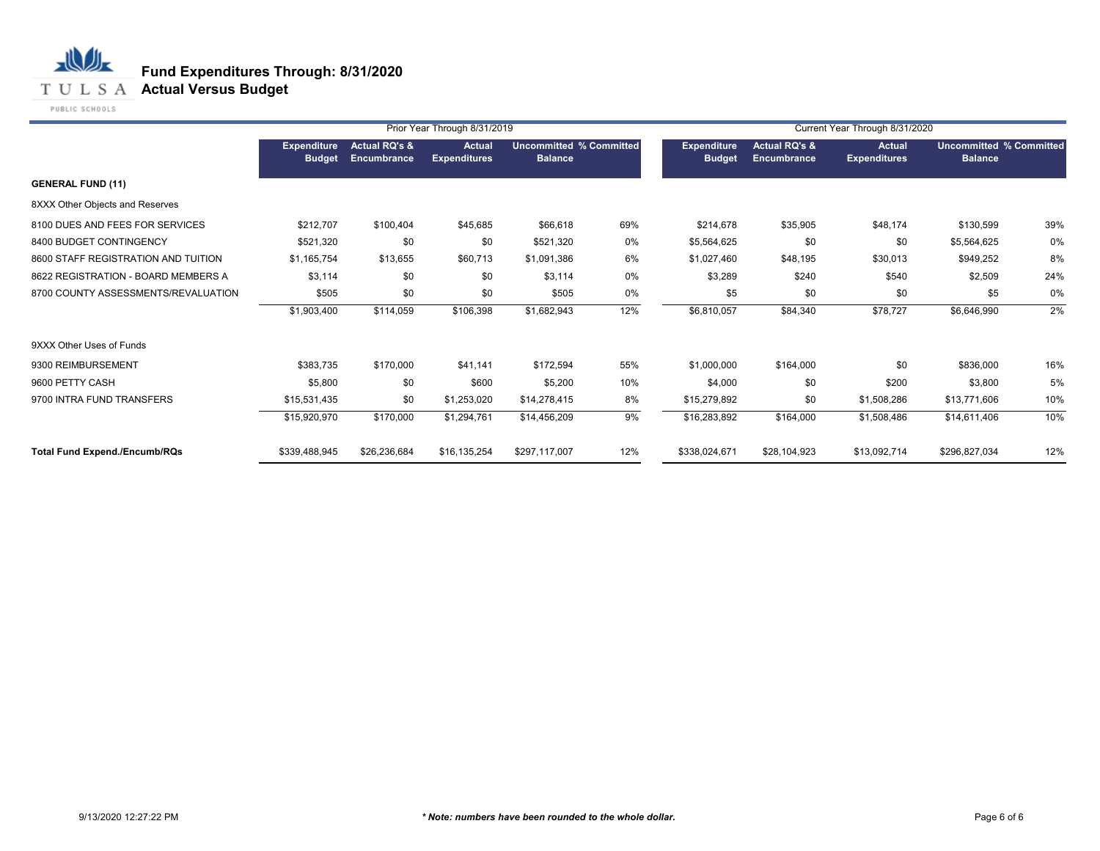**T U L S A Actual Versus Budget** 

PUBLIC SCHOOLS

|                                      |                                     |                                         | Prior Year Through 8/31/2019         |                                                  |     |                                     | Current Year Through 8/31/2020          |                                      |                                                  |     |
|--------------------------------------|-------------------------------------|-----------------------------------------|--------------------------------------|--------------------------------------------------|-----|-------------------------------------|-----------------------------------------|--------------------------------------|--------------------------------------------------|-----|
|                                      | <b>Expenditure</b><br><b>Budget</b> | <b>Actual RQ's &amp;</b><br>Encumbrance | <b>Actual</b><br><b>Expenditures</b> | <b>Uncommitted % Committed</b><br><b>Balance</b> |     | <b>Expenditure</b><br><b>Budget</b> | <b>Actual RQ's &amp;</b><br>Encumbrance | <b>Actual</b><br><b>Expenditures</b> | <b>Uncommitted % Committed</b><br><b>Balance</b> |     |
| <b>GENERAL FUND (11)</b>             |                                     |                                         |                                      |                                                  |     |                                     |                                         |                                      |                                                  |     |
| 8XXX Other Objects and Reserves      |                                     |                                         |                                      |                                                  |     |                                     |                                         |                                      |                                                  |     |
| 8100 DUES AND FEES FOR SERVICES      | \$212,707                           | \$100,404                               | \$45,685                             | \$66,618                                         | 69% | \$214,678                           | \$35,905                                | \$48,174                             | \$130,599                                        | 39% |
| 8400 BUDGET CONTINGENCY              | \$521,320                           | \$0                                     | \$0                                  | \$521,320                                        | 0%  | \$5,564,625                         | \$0                                     | \$0                                  | \$5,564,625                                      | 0%  |
| 8600 STAFF REGISTRATION AND TUITION  | \$1,165,754                         | \$13,655                                | \$60,713                             | \$1,091,386                                      | 6%  | \$1,027,460                         | \$48,195                                | \$30,013                             | \$949,252                                        | 8%  |
| 8622 REGISTRATION - BOARD MEMBERS A  | \$3,114                             | \$0                                     | \$0                                  | \$3,114                                          | 0%  | \$3,289                             | \$240                                   | \$540                                | \$2,509                                          | 24% |
| 8700 COUNTY ASSESSMENTS/REVALUATION  | \$505                               | \$0                                     | \$0                                  | \$505                                            | 0%  | \$5                                 | \$0                                     | \$0                                  | \$5                                              | 0%  |
|                                      | \$1,903,400                         | \$114,059                               | \$106,398                            | \$1,682,943                                      | 12% | \$6,810,057                         | \$84,340                                | \$78,727                             | \$6,646,990                                      | 2%  |
| 9XXX Other Uses of Funds             |                                     |                                         |                                      |                                                  |     |                                     |                                         |                                      |                                                  |     |
| 9300 REIMBURSEMENT                   | \$383,735                           | \$170,000                               | \$41,141                             | \$172,594                                        | 55% | \$1,000,000                         | \$164,000                               | \$0                                  | \$836,000                                        | 16% |
| 9600 PETTY CASH                      | \$5,800                             | \$0                                     | \$600                                | \$5,200                                          | 10% | \$4,000                             | \$0                                     | \$200                                | \$3,800                                          | 5%  |
| 9700 INTRA FUND TRANSFERS            | \$15,531,435                        | \$0                                     | \$1,253,020                          | \$14,278,415                                     | 8%  | \$15,279,892                        | \$0                                     | \$1,508,286                          | \$13,771,606                                     | 10% |
|                                      | \$15,920,970                        | \$170,000                               | \$1,294,761                          | \$14,456,209                                     | 9%  | \$16,283,892                        | \$164,000                               | \$1,508,486                          | \$14,611,406                                     | 10% |
| <b>Total Fund Expend./Encumb/RQs</b> | \$339,488,945                       | \$26,236,684                            | \$16,135,254                         | \$297,117,007                                    | 12% | \$338,024,671                       | \$28,104,923                            | \$13,092,714                         | \$296,827,034                                    | 12% |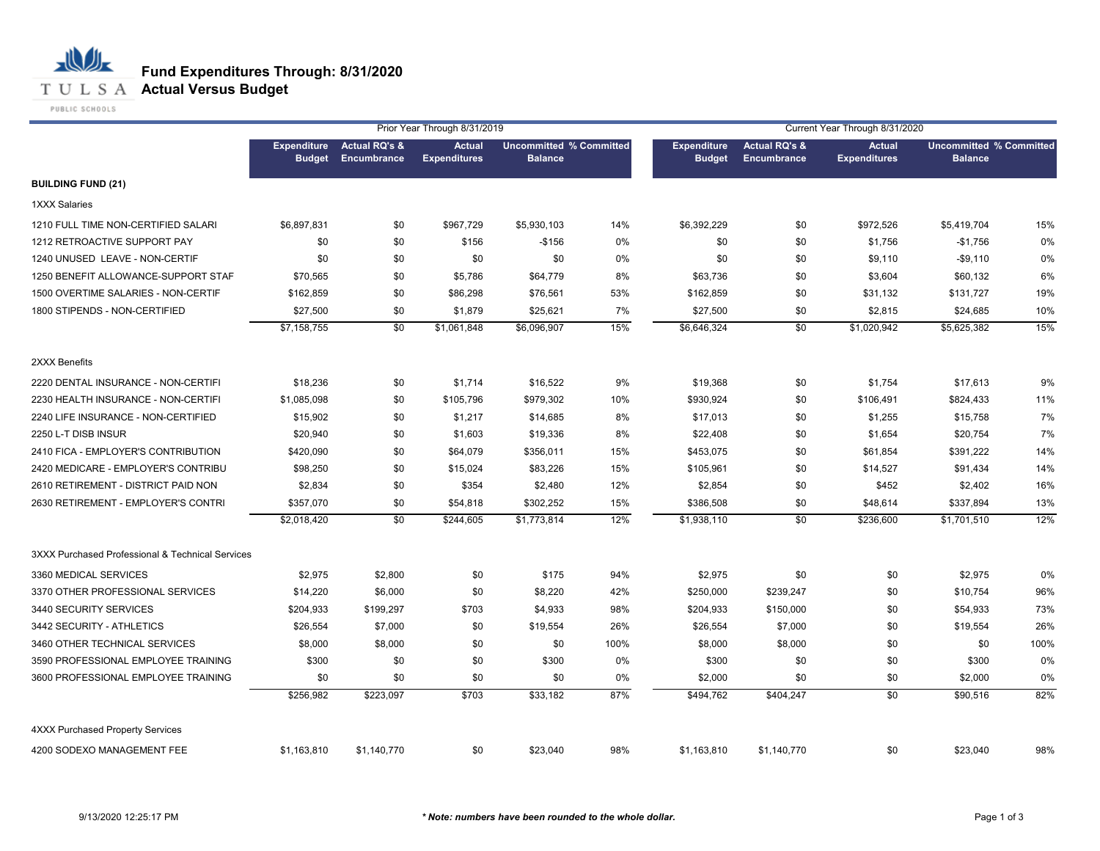#### **T U L S A Actual Versus Budget**

PUBLIC SCHOOLS

|                                                  |                                     |                                         | Prior Year Through 8/31/2019         |                                                  |      | Current Year Through 8/31/2020      |                                         |                                      |                                                  |      |
|--------------------------------------------------|-------------------------------------|-----------------------------------------|--------------------------------------|--------------------------------------------------|------|-------------------------------------|-----------------------------------------|--------------------------------------|--------------------------------------------------|------|
|                                                  | <b>Expenditure</b><br><b>Budget</b> | <b>Actual RQ's &amp;</b><br>Encumbrance | <b>Actual</b><br><b>Expenditures</b> | <b>Uncommitted % Committed</b><br><b>Balance</b> |      | <b>Expenditure</b><br><b>Budget</b> | <b>Actual RQ's &amp;</b><br>Encumbrance | <b>Actual</b><br><b>Expenditures</b> | <b>Uncommitted % Committed</b><br><b>Balance</b> |      |
| <b>BUILDING FUND (21)</b>                        |                                     |                                         |                                      |                                                  |      |                                     |                                         |                                      |                                                  |      |
| <b>1XXX Salaries</b>                             |                                     |                                         |                                      |                                                  |      |                                     |                                         |                                      |                                                  |      |
| 1210 FULL TIME NON-CERTIFIED SALARI              | \$6,897,831                         | \$0                                     | \$967,729                            | \$5,930,103                                      | 14%  | \$6,392,229                         | \$0                                     | \$972,526                            | \$5,419,704                                      | 15%  |
| 1212 RETROACTIVE SUPPORT PAY                     | \$0                                 | \$0                                     | \$156                                | $-$156$                                          | 0%   | \$0                                 | \$0                                     | \$1,756                              | $-$1,756$                                        | 0%   |
| 1240 UNUSED LEAVE - NON-CERTIF                   | \$0                                 | \$0                                     | \$0                                  | \$0                                              | 0%   | \$0                                 | \$0                                     | \$9,110                              | $-$9,110$                                        | 0%   |
| 1250 BENEFIT ALLOWANCE-SUPPORT STAF              | \$70,565                            | \$0                                     | \$5,786                              | \$64,779                                         | 8%   | \$63,736                            | \$0                                     | \$3,604                              | \$60,132                                         | 6%   |
| 1500 OVERTIME SALARIES - NON-CERTIF              | \$162,859                           | \$0                                     | \$86,298                             | \$76,561                                         | 53%  | \$162,859                           | \$0                                     | \$31,132                             | \$131,727                                        | 19%  |
| 1800 STIPENDS - NON-CERTIFIED                    | \$27,500                            | \$0                                     | \$1,879                              | \$25,621                                         | 7%   | \$27,500                            | \$0                                     | \$2,815                              | \$24,685                                         | 10%  |
|                                                  | \$7,158,755                         | \$0                                     | \$1,061,848                          | \$6,096,907                                      | 15%  | \$6,646,324                         | \$0                                     | \$1,020,942                          | \$5,625,382                                      | 15%  |
| 2XXX Benefits                                    |                                     |                                         |                                      |                                                  |      |                                     |                                         |                                      |                                                  |      |
| 2220 DENTAL INSURANCE - NON-CERTIFI              | \$18,236                            | \$0                                     | \$1,714                              | \$16,522                                         | 9%   | \$19,368                            | \$0                                     | \$1,754                              | \$17,613                                         | 9%   |
| 2230 HEALTH INSURANCE - NON-CERTIFI              | \$1,085,098                         | \$0                                     | \$105,796                            | \$979,302                                        | 10%  | \$930,924                           | \$0                                     | \$106,491                            | \$824,433                                        | 11%  |
| 2240 LIFE INSURANCE - NON-CERTIFIED              | \$15,902                            | \$0                                     | \$1,217                              | \$14,685                                         | 8%   | \$17,013                            | \$0                                     | \$1,255                              | \$15,758                                         | 7%   |
| 2250 L-T DISB INSUR                              | \$20,940                            | \$0                                     | \$1,603                              | \$19,336                                         | 8%   | \$22,408                            | \$0                                     | \$1,654                              | \$20,754                                         | 7%   |
| 2410 FICA - EMPLOYER'S CONTRIBUTION              | \$420,090                           | \$0                                     | \$64,079                             | \$356,011                                        | 15%  | \$453,075                           | \$0                                     | \$61,854                             | \$391,222                                        | 14%  |
| 2420 MEDICARE - EMPLOYER'S CONTRIBU              | \$98,250                            | \$0                                     | \$15,024                             | \$83,226                                         | 15%  | \$105,961                           | \$0                                     | \$14,527                             | \$91,434                                         | 14%  |
| 2610 RETIREMENT - DISTRICT PAID NON              | \$2,834                             | \$0                                     | \$354                                | \$2,480                                          | 12%  | \$2,854                             | \$0                                     | \$452                                | \$2,402                                          | 16%  |
| 2630 RETIREMENT - EMPLOYER'S CONTRI              | \$357,070                           | \$0                                     | \$54,818                             | \$302,252                                        | 15%  | \$386,508                           | \$0                                     | \$48,614                             | \$337,894                                        | 13%  |
|                                                  | \$2,018,420                         | $\overline{50}$                         | \$244,605                            | \$1,773,814                                      | 12%  | \$1,938,110                         | $\overline{50}$                         | \$236,600                            | \$1,701.510                                      | 12%  |
| 3XXX Purchased Professional & Technical Services |                                     |                                         |                                      |                                                  |      |                                     |                                         |                                      |                                                  |      |
| 3360 MEDICAL SERVICES                            | \$2,975                             | \$2,800                                 | \$0                                  | \$175                                            | 94%  | \$2,975                             | \$0                                     | \$0                                  | \$2,975                                          | 0%   |
| 3370 OTHER PROFESSIONAL SERVICES                 | \$14,220                            | \$6,000                                 | \$0                                  | \$8,220                                          | 42%  | \$250,000                           | \$239,247                               | \$0                                  | \$10,754                                         | 96%  |
| 3440 SECURITY SERVICES                           | \$204,933                           | \$199,297                               | \$703                                | \$4,933                                          | 98%  | \$204,933                           | \$150,000                               | \$0                                  | \$54,933                                         | 73%  |
| 3442 SECURITY - ATHLETICS                        | \$26,554                            | \$7,000                                 | \$0                                  | \$19,554                                         | 26%  | \$26,554                            | \$7,000                                 | \$0                                  | \$19,554                                         | 26%  |
| 3460 OTHER TECHNICAL SERVICES                    | \$8,000                             | \$8,000                                 | \$0                                  | \$0                                              | 100% | \$8,000                             | \$8,000                                 | \$0                                  | \$0                                              | 100% |
| 3590 PROFESSIONAL EMPLOYEE TRAINING              | \$300                               | \$0                                     | \$0                                  | \$300                                            | 0%   | \$300                               | \$0                                     | \$0                                  | \$300                                            | 0%   |
| 3600 PROFESSIONAL EMPLOYEE TRAINING              | \$0                                 | \$0                                     | \$0                                  | \$0                                              | 0%   | \$2,000                             | \$0                                     | \$0                                  | \$2,000                                          | 0%   |
|                                                  | \$256,982                           | \$223,097                               | \$703                                | \$33,182                                         | 87%  | \$494,762                           | \$404,247                               | \$0                                  | \$90,516                                         | 82%  |
| <b>4XXX Purchased Property Services</b>          |                                     |                                         |                                      |                                                  |      |                                     |                                         |                                      |                                                  |      |
| 4200 SODEXO MANAGEMENT FEE                       | \$1,163,810                         | \$1,140,770                             | \$0                                  | \$23,040                                         | 98%  | \$1,163,810                         | \$1,140,770                             | \$0                                  | \$23,040                                         | 98%  |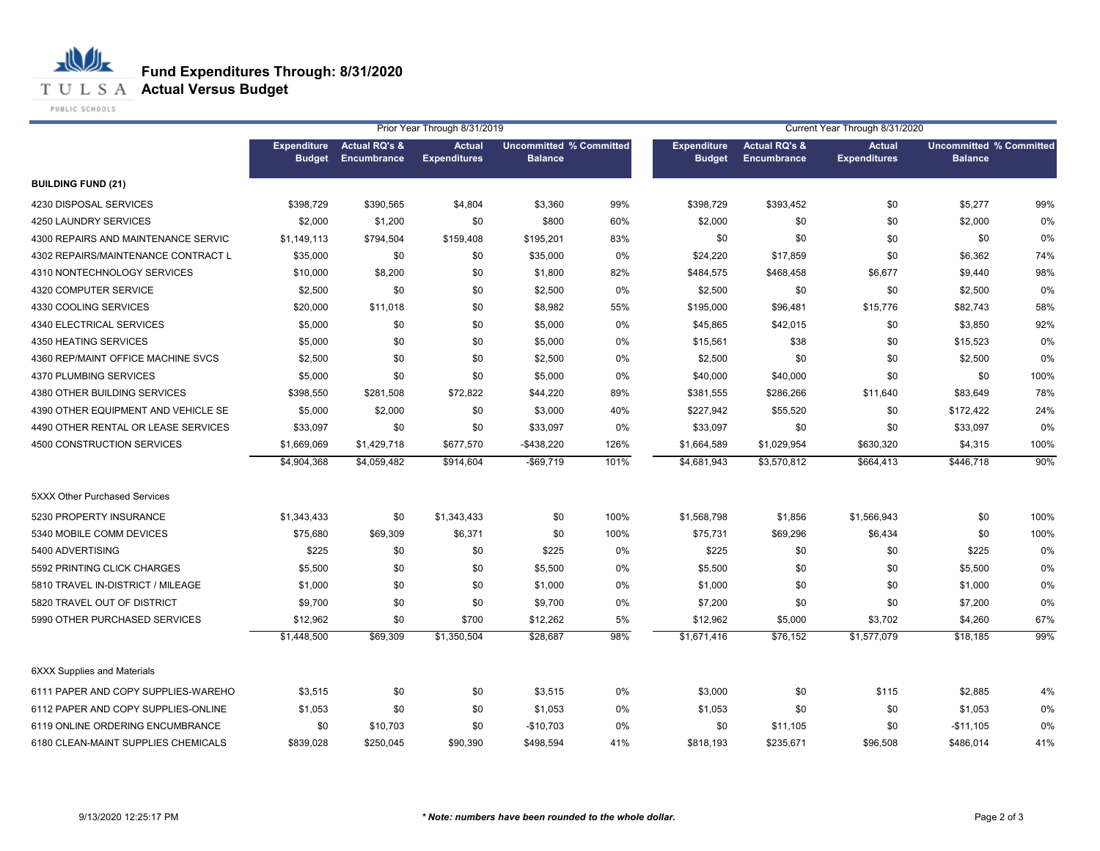**T U L S A Actual Versus Budget** 

PUBLIC SCHOOLS

|                                     | Prior Year Through 8/31/2019<br>Current Year Through 8/31/2020 |                                                       |                                      |                                                  |      |                                     |                                         |                                      |                                                  |      |
|-------------------------------------|----------------------------------------------------------------|-------------------------------------------------------|--------------------------------------|--------------------------------------------------|------|-------------------------------------|-----------------------------------------|--------------------------------------|--------------------------------------------------|------|
|                                     | <b>Expenditure</b>                                             | <b>Actual RQ's &amp;</b><br><b>Budget Encumbrance</b> | <b>Actual</b><br><b>Expenditures</b> | <b>Uncommitted % Committed</b><br><b>Balance</b> |      | <b>Expenditure</b><br><b>Budget</b> | <b>Actual RQ's &amp;</b><br>Encumbrance | <b>Actual</b><br><b>Expenditures</b> | <b>Uncommitted % Committed</b><br><b>Balance</b> |      |
| <b>BUILDING FUND (21)</b>           |                                                                |                                                       |                                      |                                                  |      |                                     |                                         |                                      |                                                  |      |
| 4230 DISPOSAL SERVICES              | \$398,729                                                      | \$390,565                                             | \$4,804                              | \$3,360                                          | 99%  | \$398,729                           | \$393,452                               | \$0                                  | \$5,277                                          | 99%  |
| 4250 LAUNDRY SERVICES               | \$2,000                                                        | \$1,200                                               | \$0                                  | \$800                                            | 60%  | \$2,000                             | \$0                                     | \$0                                  | \$2,000                                          | 0%   |
| 4300 REPAIRS AND MAINTENANCE SERVIC | \$1,149,113                                                    | \$794,504                                             | \$159,408                            | \$195,201                                        | 83%  | \$0                                 | \$0                                     | \$0                                  | \$0                                              | 0%   |
| 4302 REPAIRS/MAINTENANCE CONTRACT L | \$35,000                                                       | \$0                                                   | \$0                                  | \$35,000                                         | 0%   | \$24,220                            | \$17,859                                | \$0                                  | \$6,362                                          | 74%  |
| 4310 NONTECHNOLOGY SERVICES         | \$10,000                                                       | \$8,200                                               | \$0                                  | \$1,800                                          | 82%  | \$484,575                           | \$468,458                               | \$6,677                              | \$9,440                                          | 98%  |
| 4320 COMPUTER SERVICE               | \$2,500                                                        | \$0                                                   | \$0                                  | \$2,500                                          | 0%   | \$2,500                             | \$0                                     | \$0                                  | \$2,500                                          | 0%   |
| 4330 COOLING SERVICES               | \$20,000                                                       | \$11,018                                              | \$0                                  | \$8,982                                          | 55%  | \$195,000                           | \$96,481                                | \$15,776                             | \$82,743                                         | 58%  |
| 4340 ELECTRICAL SERVICES            | \$5,000                                                        | \$0                                                   | \$0                                  | \$5,000                                          | 0%   | \$45,865                            | \$42,015                                | \$0                                  | \$3,850                                          | 92%  |
| 4350 HEATING SERVICES               | \$5,000                                                        | \$0                                                   | \$0                                  | \$5,000                                          | 0%   | \$15,561                            | \$38                                    | \$0                                  | \$15,523                                         | 0%   |
| 4360 REP/MAINT OFFICE MACHINE SVCS  | \$2,500                                                        | \$0                                                   | \$0                                  | \$2,500                                          | 0%   | \$2,500                             | \$0                                     | \$0                                  | \$2,500                                          | 0%   |
| 4370 PLUMBING SERVICES              | \$5,000                                                        | \$0                                                   | \$0                                  | \$5,000                                          | 0%   | \$40,000                            | \$40,000                                | \$0                                  | \$0                                              | 100% |
| 4380 OTHER BUILDING SERVICES        | \$398,550                                                      | \$281,508                                             | \$72,822                             | \$44,220                                         | 89%  | \$381,555                           | \$286,266                               | \$11,640                             | \$83,649                                         | 78%  |
| 4390 OTHER EQUIPMENT AND VEHICLE SE | \$5,000                                                        | \$2,000                                               | \$0                                  | \$3,000                                          | 40%  | \$227,942                           | \$55,520                                | \$0                                  | \$172,422                                        | 24%  |
| 4490 OTHER RENTAL OR LEASE SERVICES | \$33,097                                                       | \$0                                                   | \$0                                  | \$33,097                                         | 0%   | \$33,097                            | \$0                                     | \$0                                  | \$33,097                                         | 0%   |
| 4500 CONSTRUCTION SERVICES          | \$1,669,069                                                    | \$1,429,718                                           | \$677,570                            | $-$ \$438,220                                    | 126% | \$1,664,589                         | \$1,029,954                             | \$630,320                            | \$4,315                                          | 100% |
|                                     | \$4,904,368                                                    | \$4,059,482                                           | \$914,604                            | $-$69,719$                                       | 101% | \$4,681,943                         | \$3,570,812                             | \$664,413                            | \$446,718                                        | 90%  |
| 5XXX Other Purchased Services       |                                                                |                                                       |                                      |                                                  |      |                                     |                                         |                                      |                                                  |      |
| 5230 PROPERTY INSURANCE             | \$1,343,433                                                    | \$0                                                   | \$1,343,433                          | \$0                                              | 100% | \$1,568,798                         | \$1,856                                 | \$1,566,943                          | \$0                                              | 100% |
| 5340 MOBILE COMM DEVICES            | \$75,680                                                       | \$69,309                                              | \$6,371                              | \$0                                              | 100% | \$75,731                            | \$69,296                                | \$6,434                              | \$0                                              | 100% |
| 5400 ADVERTISING                    | \$225                                                          | \$0                                                   | \$0                                  | \$225                                            | 0%   | \$225                               | \$0                                     | \$0                                  | \$225                                            | 0%   |
| 5592 PRINTING CLICK CHARGES         | \$5,500                                                        | \$0                                                   | \$0                                  | \$5,500                                          | 0%   | \$5,500                             | \$0                                     | \$0                                  | \$5,500                                          | 0%   |
| 5810 TRAVEL IN-DISTRICT / MILEAGE   | \$1,000                                                        | \$0                                                   | \$0                                  | \$1,000                                          | 0%   | \$1,000                             | \$0                                     | \$0                                  | \$1,000                                          | 0%   |
| 5820 TRAVEL OUT OF DISTRICT         | \$9,700                                                        | \$0                                                   | \$0                                  | \$9,700                                          | 0%   | \$7,200                             | \$0                                     | \$0                                  | \$7,200                                          | 0%   |
| 5990 OTHER PURCHASED SERVICES       | \$12,962                                                       | \$0                                                   | \$700                                | \$12,262                                         | 5%   | \$12,962                            | \$5,000                                 | \$3,702                              | \$4,260                                          | 67%  |
|                                     | \$1,448,500                                                    | \$69,309                                              | \$1,350,504                          | \$28,687                                         | 98%  | $\overline{31,671,416}$             | \$76,152                                | \$1,577,079                          | \$18,185                                         | 99%  |
| <b>6XXX Supplies and Materials</b>  |                                                                |                                                       |                                      |                                                  |      |                                     |                                         |                                      |                                                  |      |
| 6111 PAPER AND COPY SUPPLIES-WAREHO | \$3,515                                                        | \$0                                                   | \$0                                  | \$3,515                                          | 0%   | \$3,000                             | \$0                                     | \$115                                | \$2,885                                          | 4%   |
| 6112 PAPER AND COPY SUPPLIES-ONLINE | \$1,053                                                        | \$0                                                   | \$0                                  | \$1,053                                          | 0%   | \$1,053                             | \$0                                     | \$0                                  | \$1,053                                          | 0%   |
| 6119 ONLINE ORDERING ENCUMBRANCE    | \$0                                                            | \$10,703                                              | \$0                                  | $-$10,703$                                       | 0%   | \$0                                 | \$11,105                                | \$0                                  | $-$11,105$                                       | 0%   |
| 6180 CLEAN-MAINT SUPPLIES CHEMICALS | \$839,028                                                      | \$250,045                                             | \$90,390                             | \$498,594                                        | 41%  | \$818,193                           | \$235,671                               | \$96,508                             | \$486,014                                        | 41%  |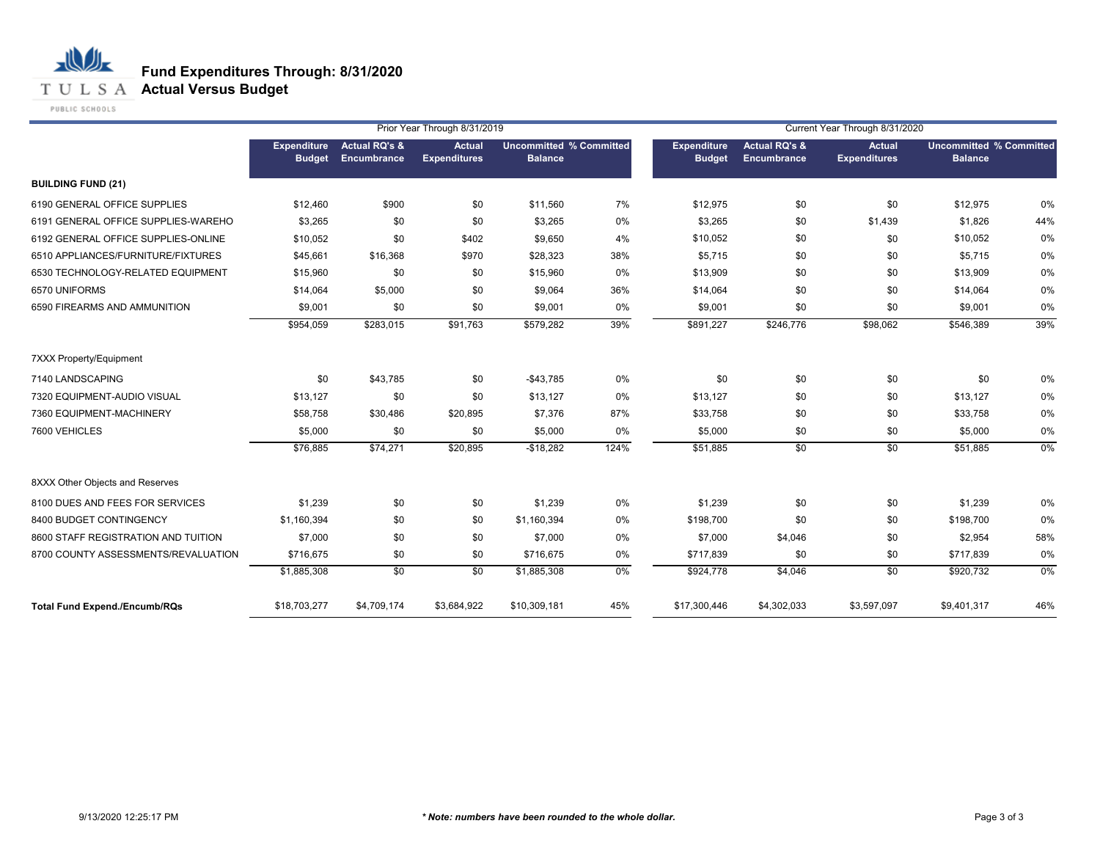**T U L S A Actual Versus Budget** 

PUBLIC SCHOOLS

|                                      |                              |                                                | Prior Year Through 8/31/2019         |                                                  |      | Current Year Through 8/31/2020      |                                         |                                      |                                                  |       |
|--------------------------------------|------------------------------|------------------------------------------------|--------------------------------------|--------------------------------------------------|------|-------------------------------------|-----------------------------------------|--------------------------------------|--------------------------------------------------|-------|
|                                      | Expenditure<br><b>Budget</b> | <b>Actual RQ's &amp;</b><br><b>Encumbrance</b> | <b>Actual</b><br><b>Expenditures</b> | <b>Uncommitted % Committed</b><br><b>Balance</b> |      | <b>Expenditure</b><br><b>Budget</b> | <b>Actual RQ's &amp;</b><br>Encumbrance | <b>Actual</b><br><b>Expenditures</b> | <b>Uncommitted % Committed</b><br><b>Balance</b> |       |
| <b>BUILDING FUND (21)</b>            |                              |                                                |                                      |                                                  |      |                                     |                                         |                                      |                                                  |       |
| 6190 GENERAL OFFICE SUPPLIES         | \$12,460                     | \$900                                          | \$0                                  | \$11,560                                         | 7%   | \$12,975                            | \$0                                     | \$0                                  | \$12,975                                         | 0%    |
| 6191 GENERAL OFFICE SUPPLIES-WAREHO  | \$3,265                      | \$0                                            | \$0                                  | \$3,265                                          | 0%   | \$3,265                             | \$0                                     | \$1,439                              | \$1,826                                          | 44%   |
| 6192 GENERAL OFFICE SUPPLIES-ONLINE  | \$10,052                     | \$0                                            | \$402                                | \$9,650                                          | 4%   | \$10,052                            | \$0                                     | \$0                                  | \$10,052                                         | 0%    |
| 6510 APPLIANCES/FURNITURE/FIXTURES   | \$45,661                     | \$16,368                                       | \$970                                | \$28,323                                         | 38%  | \$5,715                             | \$0                                     | \$0                                  | \$5,715                                          | 0%    |
| 6530 TECHNOLOGY-RELATED EQUIPMENT    | \$15,960                     | \$0                                            | \$0                                  | \$15,960                                         | 0%   | \$13,909                            | \$0                                     | \$0                                  | \$13,909                                         | 0%    |
| 6570 UNIFORMS                        | \$14,064                     | \$5,000                                        | \$0                                  | \$9,064                                          | 36%  | \$14,064                            | \$0                                     | \$0                                  | \$14,064                                         | 0%    |
| 6590 FIREARMS AND AMMUNITION         | \$9,001                      | \$0                                            | \$0                                  | \$9,001                                          | 0%   | \$9,001                             | \$0                                     | \$0                                  | \$9,001                                          | 0%    |
|                                      | \$954,059                    | \$283,015                                      | \$91,763                             | \$579,282                                        | 39%  | \$891,227                           | \$246,776                               | \$98,062                             | \$546,389                                        | 39%   |
| 7XXX Property/Equipment              |                              |                                                |                                      |                                                  |      |                                     |                                         |                                      |                                                  |       |
| 7140 LANDSCAPING                     | \$0                          | \$43,785                                       | \$0                                  | $-$43,785$                                       | 0%   | \$0                                 | \$0                                     | \$0                                  | \$0                                              | 0%    |
| 7320 EQUIPMENT-AUDIO VISUAL          | \$13,127                     | \$0                                            | \$0                                  | \$13,127                                         | 0%   | \$13,127                            | \$0                                     | \$0                                  | \$13,127                                         | 0%    |
| 7360 EQUIPMENT-MACHINERY             | \$58,758                     | \$30,486                                       | \$20,895                             | \$7,376                                          | 87%  | \$33,758                            | \$0                                     | \$0                                  | \$33,758                                         | 0%    |
| 7600 VEHICLES                        | \$5,000                      | \$0                                            | \$0                                  | \$5,000                                          | 0%   | \$5,000                             | \$0                                     | \$0                                  | \$5,000                                          | 0%    |
|                                      | \$76,885                     | \$74,271                                       | \$20,895                             | $-$18,282$                                       | 124% | \$51,885                            | $\sqrt{6}$                              | $\overline{50}$                      | \$51,885                                         | $0\%$ |
| 8XXX Other Objects and Reserves      |                              |                                                |                                      |                                                  |      |                                     |                                         |                                      |                                                  |       |
| 8100 DUES AND FEES FOR SERVICES      | \$1,239                      | \$0                                            | \$0                                  | \$1,239                                          | 0%   | \$1,239                             | \$0                                     | \$0                                  | \$1,239                                          | 0%    |
| 8400 BUDGET CONTINGENCY              | \$1,160,394                  | \$0                                            | \$0                                  | \$1,160,394                                      | 0%   | \$198,700                           | \$0                                     | \$0                                  | \$198,700                                        | 0%    |
| 8600 STAFF REGISTRATION AND TUITION  | \$7,000                      | \$0                                            | \$0                                  | \$7,000                                          | 0%   | \$7,000                             | \$4,046                                 | \$0                                  | \$2,954                                          | 58%   |
| 8700 COUNTY ASSESSMENTS/REVALUATION  | \$716,675                    | \$0                                            | \$0                                  | \$716,675                                        | 0%   | \$717,839                           | \$0                                     | \$0                                  | \$717,839                                        | 0%    |
|                                      | \$1,885,308                  | $\overline{50}$                                | $\overline{50}$                      | \$1,885,308                                      | 0%   | \$924,778                           | \$4,046                                 | \$0                                  | \$920,732                                        | $0\%$ |
| <b>Total Fund Expend./Encumb/RQs</b> | \$18,703,277                 | \$4,709,174                                    | \$3,684,922                          | \$10,309,181                                     | 45%  | \$17,300,446                        | \$4,302,033                             | \$3,597,097                          | \$9,401,317                                      | 46%   |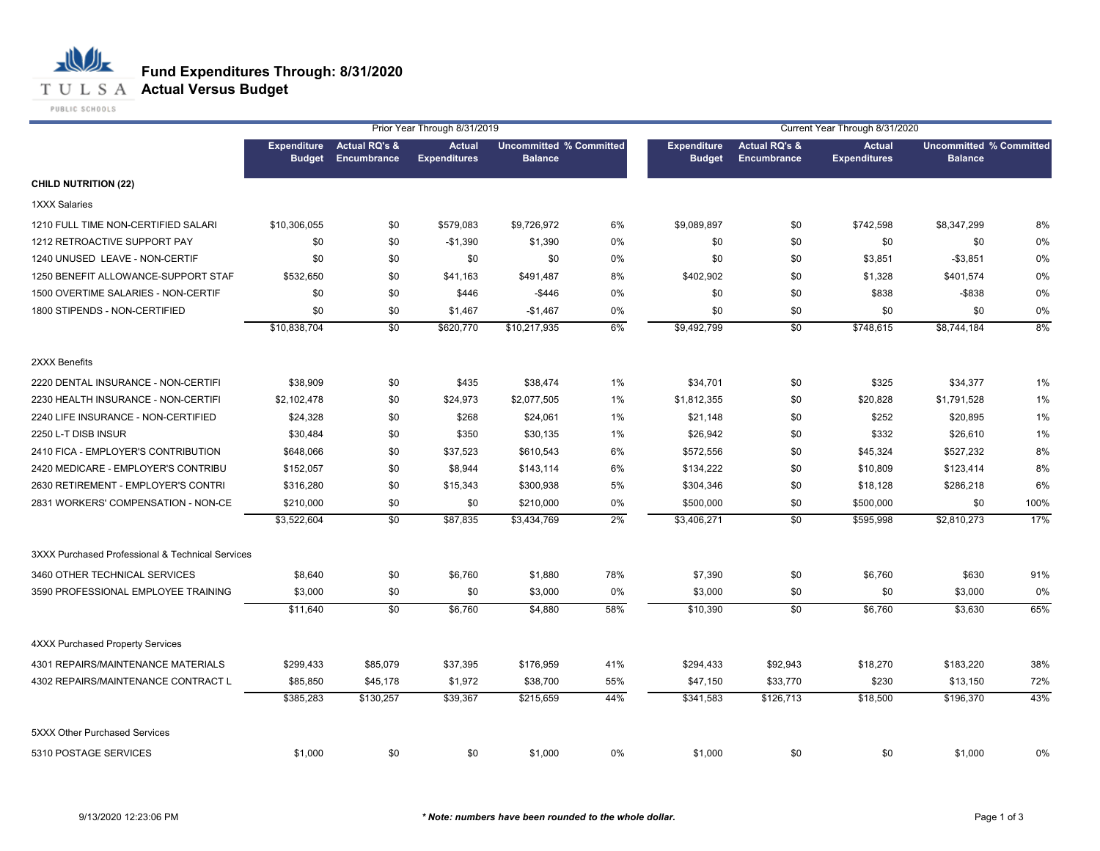## **T U L S A Actual Versus Budget**

PUBLIC SCHOOLS

|                                                  |                                     |                                         | Prior Year Through 8/31/2019         |                                                  |     |                                     |                                         | Current Year Through 8/31/2020       |                                                  |      |
|--------------------------------------------------|-------------------------------------|-----------------------------------------|--------------------------------------|--------------------------------------------------|-----|-------------------------------------|-----------------------------------------|--------------------------------------|--------------------------------------------------|------|
|                                                  | <b>Expenditure</b><br><b>Budget</b> | <b>Actual RQ's &amp;</b><br>Encumbrance | <b>Actual</b><br><b>Expenditures</b> | <b>Uncommitted % Committed</b><br><b>Balance</b> |     | <b>Expenditure</b><br><b>Budget</b> | <b>Actual RQ's &amp;</b><br>Encumbrance | <b>Actual</b><br><b>Expenditures</b> | <b>Uncommitted % Committed</b><br><b>Balance</b> |      |
| <b>CHILD NUTRITION (22)</b>                      |                                     |                                         |                                      |                                                  |     |                                     |                                         |                                      |                                                  |      |
| <b>1XXX Salaries</b>                             |                                     |                                         |                                      |                                                  |     |                                     |                                         |                                      |                                                  |      |
| 1210 FULL TIME NON-CERTIFIED SALARI              | \$10,306,055                        | \$0                                     | \$579,083                            | \$9,726,972                                      | 6%  | \$9,089,897                         | \$0                                     | \$742,598                            | \$8,347,299                                      | 8%   |
| 1212 RETROACTIVE SUPPORT PAY                     | \$0                                 | \$0                                     | $-$1,390$                            | \$1,390                                          | 0%  | \$0                                 | \$0                                     | \$0                                  | \$0                                              | 0%   |
| 1240 UNUSED LEAVE - NON-CERTIF                   | \$0                                 | \$0                                     | \$0                                  | \$0                                              | 0%  | \$0                                 | \$0                                     | \$3,851                              | $-$3,851$                                        | 0%   |
| 1250 BENEFIT ALLOWANCE-SUPPORT STAF              | \$532,650                           | \$0                                     | \$41,163                             | \$491,487                                        | 8%  | \$402,902                           | \$0                                     | \$1,328                              | \$401,574                                        | 0%   |
| 1500 OVERTIME SALARIES - NON-CERTIF              | \$0                                 | \$0                                     | \$446                                | $-$446$                                          | 0%  | \$0                                 | \$0                                     | \$838                                | $-$ \$838                                        | 0%   |
| 1800 STIPENDS - NON-CERTIFIED                    | \$0                                 | \$0                                     | \$1,467                              | $-$1,467$                                        | 0%  | \$0                                 | \$0                                     | \$0                                  | \$0                                              | 0%   |
|                                                  | \$10,838,704                        | $\sqrt{50}$                             | \$620,770                            | \$10,217,935                                     | 6%  | \$9,492,799                         | \$0                                     | \$748,615                            | \$8,744,184                                      | 8%   |
| 2XXX Benefits                                    |                                     |                                         |                                      |                                                  |     |                                     |                                         |                                      |                                                  |      |
| 2220 DENTAL INSURANCE - NON-CERTIFI              | \$38,909                            | \$0                                     | \$435                                | \$38,474                                         | 1%  | \$34,701                            | \$0                                     | \$325                                | \$34,377                                         | 1%   |
| 2230 HEALTH INSURANCE - NON-CERTIFI              | \$2,102,478                         | \$0                                     | \$24,973                             | \$2,077,505                                      | 1%  | \$1,812,355                         | \$0                                     | \$20,828                             | \$1,791,528                                      | 1%   |
| 2240 LIFE INSURANCE - NON-CERTIFIED              | \$24,328                            | \$0                                     | \$268                                | \$24,061                                         | 1%  | \$21,148                            | \$0                                     | \$252                                | \$20,895                                         | 1%   |
| 2250 L-T DISB INSUR                              | \$30,484                            | \$0                                     | \$350                                | \$30,135                                         | 1%  | \$26,942                            | \$0                                     | \$332                                | \$26,610                                         | 1%   |
| 2410 FICA - EMPLOYER'S CONTRIBUTION              | \$648,066                           | \$0                                     | \$37,523                             | \$610,543                                        | 6%  | \$572,556                           | \$0                                     | \$45,324                             | \$527,232                                        | 8%   |
| 2420 MEDICARE - EMPLOYER'S CONTRIBU              | \$152,057                           | \$0                                     | \$8,944                              | \$143,114                                        | 6%  | \$134,222                           | \$0                                     | \$10,809                             | \$123,414                                        | 8%   |
| 2630 RETIREMENT - EMPLOYER'S CONTRI              | \$316,280                           | \$0                                     | \$15,343                             | \$300,938                                        | 5%  | \$304,346                           | \$0                                     | \$18,128                             | \$286,218                                        | 6%   |
| 2831 WORKERS' COMPENSATION - NON-CE              | \$210,000                           | \$0                                     | \$0                                  | \$210,000                                        | 0%  | \$500,000                           | \$0                                     | \$500,000                            | \$0                                              | 100% |
|                                                  | \$3,522,604                         | \$0                                     | \$87,835                             | \$3,434,769                                      | 2%  | \$3,406,271                         | \$0                                     | \$595,998                            | \$2,810,273                                      | 17%  |
| 3XXX Purchased Professional & Technical Services |                                     |                                         |                                      |                                                  |     |                                     |                                         |                                      |                                                  |      |
| 3460 OTHER TECHNICAL SERVICES                    | \$8,640                             | \$0                                     | \$6,760                              | \$1,880                                          | 78% | \$7,390                             | \$0                                     | \$6,760                              | \$630                                            | 91%  |
| 3590 PROFESSIONAL EMPLOYEE TRAINING              | \$3,000                             | \$0                                     | \$0                                  | \$3,000                                          | 0%  | \$3,000                             | \$0                                     | \$0                                  | \$3,000                                          | 0%   |
|                                                  | \$11,640                            | \$0                                     | \$6,760                              | \$4,880                                          | 58% | \$10,390                            | \$0                                     | \$6,760                              | \$3,630                                          | 65%  |
| <b>4XXX Purchased Property Services</b>          |                                     |                                         |                                      |                                                  |     |                                     |                                         |                                      |                                                  |      |
| 4301 REPAIRS/MAINTENANCE MATERIALS               | \$299,433                           | \$85,079                                | \$37,395                             | \$176,959                                        | 41% | \$294,433                           | \$92,943                                | \$18,270                             | \$183,220                                        | 38%  |
| 4302 REPAIRS/MAINTENANCE CONTRACT L              | \$85,850                            | \$45,178                                | \$1,972                              | \$38,700                                         | 55% | \$47,150                            | \$33,770                                | \$230                                | \$13,150                                         | 72%  |
|                                                  | \$385,283                           | \$130,257                               | \$39,367                             | \$215,659                                        | 44% | \$341,583                           | \$126,713                               | \$18,500                             | \$196,370                                        | 43%  |
| 5XXX Other Purchased Services                    |                                     |                                         |                                      |                                                  |     |                                     |                                         |                                      |                                                  |      |
| 5310 POSTAGE SERVICES                            | \$1,000                             | \$0                                     | \$0                                  | \$1,000                                          | 0%  | \$1,000                             | \$0                                     | \$0                                  | \$1,000                                          | 0%   |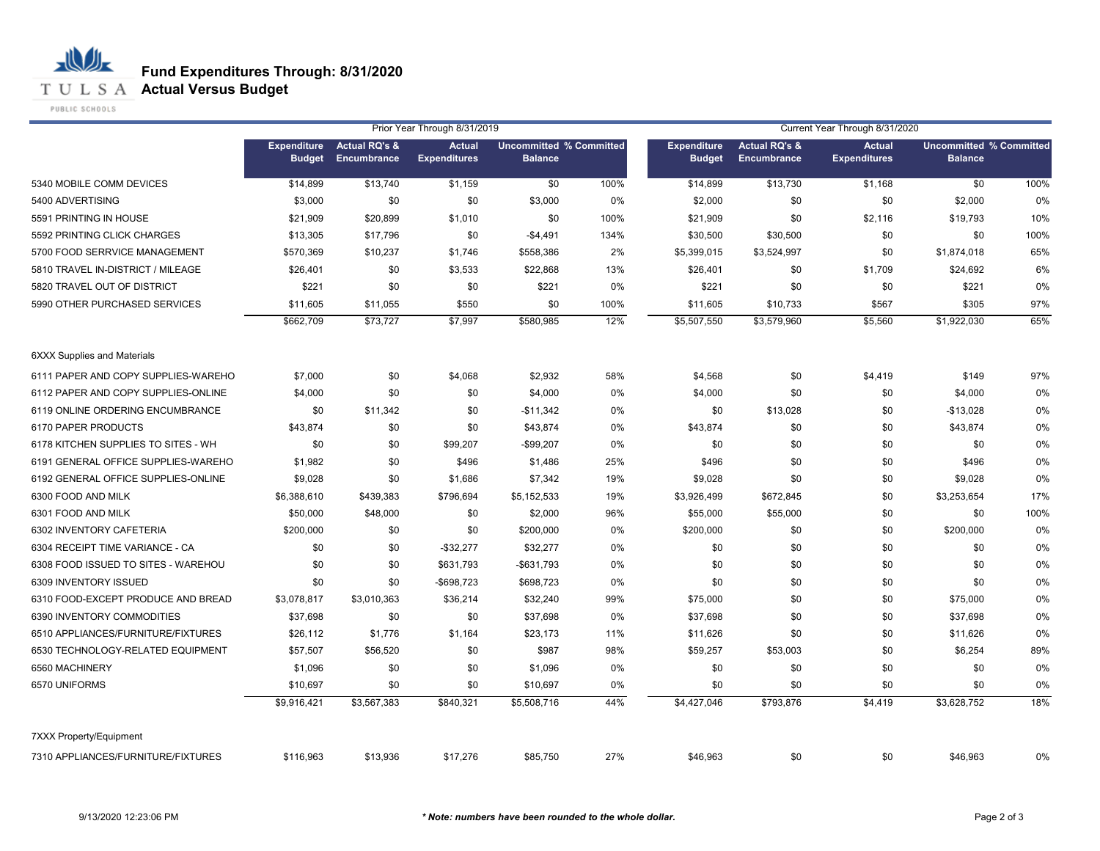**T U L S A Actual Versus Budget** 

PUBLIC SCHOOLS

|                                     | Prior Year Through 8/31/2019        |                                                |                                      |                                                  |      | Current Year Through 8/31/2020      |                                         |                                      |                                                  |      |
|-------------------------------------|-------------------------------------|------------------------------------------------|--------------------------------------|--------------------------------------------------|------|-------------------------------------|-----------------------------------------|--------------------------------------|--------------------------------------------------|------|
|                                     | <b>Expenditure</b><br><b>Budget</b> | <b>Actual RQ's &amp;</b><br><b>Encumbrance</b> | <b>Actual</b><br><b>Expenditures</b> | <b>Uncommitted % Committed</b><br><b>Balance</b> |      | <b>Expenditure</b><br><b>Budget</b> | <b>Actual RQ's &amp;</b><br>Encumbrance | <b>Actual</b><br><b>Expenditures</b> | <b>Uncommitted % Committed</b><br><b>Balance</b> |      |
| 5340 MOBILE COMM DEVICES            | \$14,899                            | \$13,740                                       | \$1,159                              | \$0                                              | 100% | \$14,899                            | \$13,730                                | \$1,168                              | \$0                                              | 100% |
| 5400 ADVERTISING                    | \$3,000                             | \$0                                            | \$0                                  | \$3,000                                          | 0%   | \$2,000                             | \$0                                     | \$0                                  | \$2,000                                          | 0%   |
| 5591 PRINTING IN HOUSE              | \$21,909                            | \$20,899                                       | \$1,010                              | \$0                                              | 100% | \$21,909                            | \$0                                     | \$2,116                              | \$19,793                                         | 10%  |
| 5592 PRINTING CLICK CHARGES         | \$13,305                            | \$17,796                                       | \$0                                  | $-$4,491$                                        | 134% | \$30,500                            | \$30,500                                | \$0                                  | \$0                                              | 100% |
| 5700 FOOD SERRVICE MANAGEMENT       | \$570,369                           | \$10,237                                       | \$1,746                              | \$558,386                                        | 2%   | \$5,399,015                         | \$3,524,997                             | \$0                                  | \$1,874,018                                      | 65%  |
| 5810 TRAVEL IN-DISTRICT / MILEAGE   | \$26,401                            | \$0                                            | \$3,533                              | \$22,868                                         | 13%  | \$26,401                            | \$0                                     | \$1,709                              | \$24,692                                         | 6%   |
| 5820 TRAVEL OUT OF DISTRICT         | \$221                               | \$0                                            | \$0                                  | \$221                                            | 0%   | \$221                               | \$0                                     | \$0                                  | \$221                                            | 0%   |
| 5990 OTHER PURCHASED SERVICES       | \$11,605                            | \$11,055                                       | \$550                                | \$0                                              | 100% | \$11,605                            | \$10,733                                | \$567                                | \$305                                            | 97%  |
|                                     | \$662,709                           | \$73,727                                       | \$7,997                              | \$580,985                                        | 12%  | \$5,507,550                         | \$3,579,960                             | \$5,560                              | \$1,922,030                                      | 65%  |
| <b>6XXX Supplies and Materials</b>  |                                     |                                                |                                      |                                                  |      |                                     |                                         |                                      |                                                  |      |
| 6111 PAPER AND COPY SUPPLIES-WAREHO | \$7,000                             | \$0                                            | \$4,068                              | \$2,932                                          | 58%  | \$4,568                             | \$0                                     | \$4,419                              | \$149                                            | 97%  |
| 6112 PAPER AND COPY SUPPLIES-ONLINE | \$4,000                             | \$0                                            | \$0                                  | \$4,000                                          | 0%   | \$4,000                             | \$0                                     | \$0                                  | \$4,000                                          | 0%   |
| 6119 ONLINE ORDERING ENCUMBRANCE    | \$0                                 | \$11,342                                       | \$0                                  | $-$11,342$                                       | 0%   | \$0                                 | \$13,028                                | \$0                                  | $-$13,028$                                       | 0%   |
| 6170 PAPER PRODUCTS                 | \$43,874                            | \$0                                            | \$0                                  | \$43,874                                         | 0%   | \$43,874                            | \$0                                     | \$0                                  | \$43,874                                         | 0%   |
| 6178 KITCHEN SUPPLIES TO SITES - WH | \$0                                 | \$0                                            | \$99,207                             | $-$99,207$                                       | 0%   | \$0                                 | \$0                                     | \$0                                  | \$0                                              | 0%   |
| 6191 GENERAL OFFICE SUPPLIES-WAREHO | \$1,982                             | \$0                                            | \$496                                | \$1,486                                          | 25%  | \$496                               | \$0                                     | \$0                                  | \$496                                            | 0%   |
| 6192 GENERAL OFFICE SUPPLIES-ONLINE | \$9,028                             | \$0                                            | \$1,686                              | \$7,342                                          | 19%  | \$9,028                             | \$0                                     | \$0                                  | \$9,028                                          | 0%   |
| 6300 FOOD AND MILK                  | \$6,388,610                         | \$439,383                                      | \$796,694                            | \$5,152,533                                      | 19%  | \$3,926,499                         | \$672,845                               | \$0                                  | \$3,253,654                                      | 17%  |
| 6301 FOOD AND MILK                  | \$50,000                            | \$48,000                                       | \$0                                  | \$2,000                                          | 96%  | \$55,000                            | \$55,000                                | \$0                                  | \$0                                              | 100% |
| 6302 INVENTORY CAFETERIA            | \$200,000                           | \$0                                            | \$0                                  | \$200,000                                        | 0%   | \$200,000                           | \$0                                     | \$0                                  | \$200,000                                        | 0%   |
| 6304 RECEIPT TIME VARIANCE - CA     | \$0                                 | \$0                                            | $-$ \$32,277                         | \$32,277                                         | 0%   | \$0                                 | \$0                                     | \$0                                  | \$0                                              | 0%   |
| 6308 FOOD ISSUED TO SITES - WAREHOU | \$0                                 | \$0                                            | \$631,793                            | -\$631,793                                       | 0%   | \$0                                 | \$0                                     | \$0                                  | \$0                                              | 0%   |
| 6309 INVENTORY ISSUED               | \$0                                 | \$0                                            | $-$ \$698,723                        | \$698,723                                        | 0%   | \$0                                 | \$0                                     | \$0                                  | \$0                                              | 0%   |
| 6310 FOOD-EXCEPT PRODUCE AND BREAD  | \$3,078,817                         | \$3,010,363                                    | \$36,214                             | \$32,240                                         | 99%  | \$75,000                            | \$0                                     | \$0                                  | \$75,000                                         | 0%   |
| 6390 INVENTORY COMMODITIES          | \$37,698                            | \$0                                            | \$0                                  | \$37,698                                         | 0%   | \$37,698                            | \$0                                     | \$0                                  | \$37,698                                         | 0%   |
| 6510 APPLIANCES/FURNITURE/FIXTURES  | \$26,112                            | \$1,776                                        | \$1,164                              | \$23,173                                         | 11%  | \$11,626                            | \$0                                     | \$0                                  | \$11,626                                         | 0%   |
| 6530 TECHNOLOGY-RELATED EQUIPMENT   | \$57,507                            | \$56,520                                       | \$0                                  | \$987                                            | 98%  | \$59,257                            | \$53,003                                | \$0                                  | \$6,254                                          | 89%  |
| 6560 MACHINERY                      | \$1,096                             | \$0                                            | \$0                                  | \$1,096                                          | 0%   | \$0                                 | \$0                                     | \$0                                  | \$0                                              | 0%   |
| 6570 UNIFORMS                       | \$10,697                            | \$0                                            | \$0                                  | \$10,697                                         | 0%   | \$0                                 | \$0                                     | \$0                                  | \$0                                              | 0%   |
|                                     | \$9,916,421                         | \$3,567,383                                    | \$840,321                            | \$5,508,716                                      | 44%  | \$4,427,046                         | \$793,876                               | \$4,419                              | \$3.628.752                                      | 18%  |
| <b>7XXX Property/Equipment</b>      |                                     |                                                |                                      |                                                  |      |                                     |                                         |                                      |                                                  |      |
| 7310 APPLIANCES/FURNITURE/FIXTURES  | \$116,963                           | \$13,936                                       | \$17,276                             | \$85,750                                         | 27%  | \$46,963                            | \$0                                     | \$0                                  | \$46,963                                         | 0%   |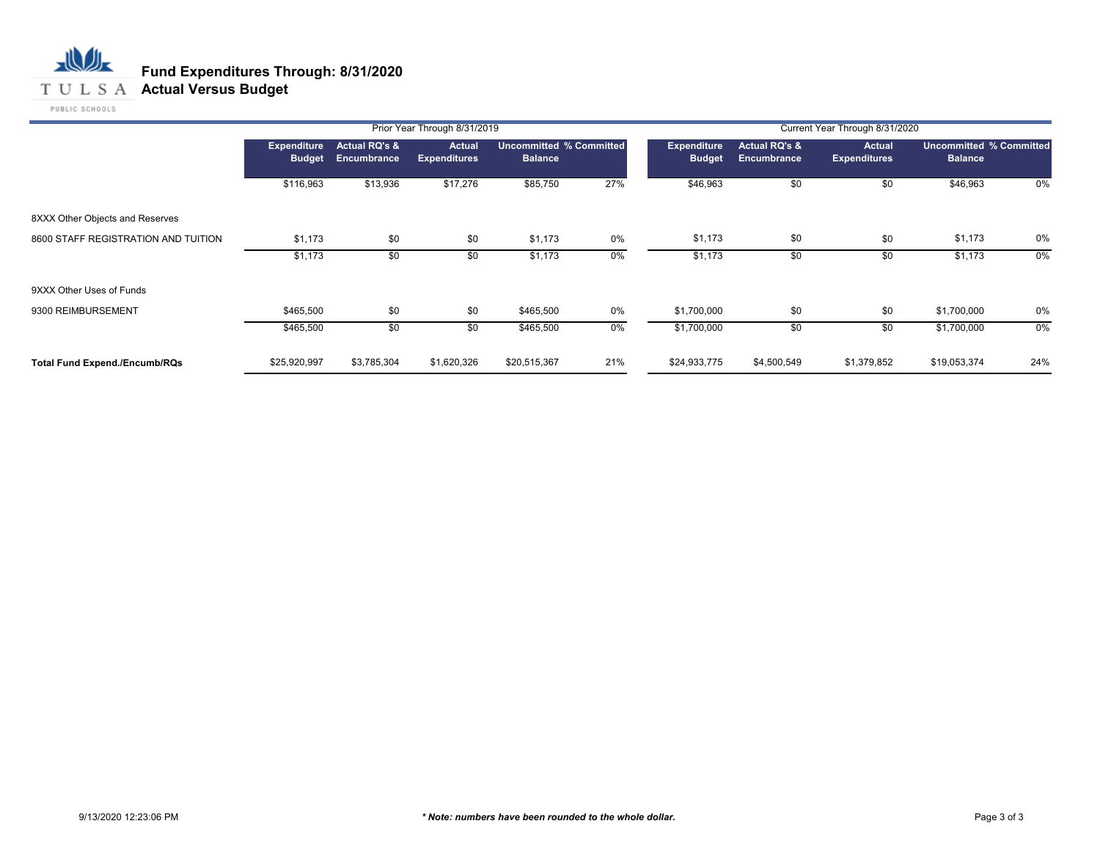#### **T U L S A Actual Versus Budget**

PUBLIC SCHOOLS

|                                      |                                     |                              | Prior Year Through 8/31/2019         |                                                  |     | Current Year Through 8/31/2020      |                                         |                                      |                                                  |     |  |
|--------------------------------------|-------------------------------------|------------------------------|--------------------------------------|--------------------------------------------------|-----|-------------------------------------|-----------------------------------------|--------------------------------------|--------------------------------------------------|-----|--|
|                                      | <b>Expenditure</b><br><b>Budget</b> | Actual RQ's &<br>Encumbrance | <b>Actual</b><br><b>Expenditures</b> | <b>Uncommitted % Committed</b><br><b>Balance</b> |     | <b>Expenditure</b><br><b>Budget</b> | <b>Actual RQ's &amp;</b><br>Encumbrance | <b>Actual</b><br><b>Expenditures</b> | <b>Uncommitted % Committed</b><br><b>Balance</b> |     |  |
|                                      | \$116,963                           | \$13,936                     | \$17,276                             | \$85,750                                         | 27% | \$46,963                            | \$0                                     | \$0                                  | \$46,963                                         | 0%  |  |
| 8XXX Other Objects and Reserves      |                                     |                              |                                      |                                                  |     |                                     |                                         |                                      |                                                  |     |  |
| 8600 STAFF REGISTRATION AND TUITION  | \$1,173                             | \$0                          | \$0                                  | \$1,173                                          | 0%  | \$1,173                             | \$0                                     | \$0                                  | \$1,173                                          | 0%  |  |
|                                      | \$1,173                             | \$0                          | \$0                                  | \$1,173                                          | 0%  | \$1,173                             | \$0                                     | \$0                                  | \$1,173                                          | 0%  |  |
| 9XXX Other Uses of Funds             |                                     |                              |                                      |                                                  |     |                                     |                                         |                                      |                                                  |     |  |
| 9300 REIMBURSEMENT                   | \$465,500                           | \$0                          | \$0                                  | \$465,500                                        | 0%  | \$1,700,000                         | \$0                                     | \$0                                  | \$1,700,000                                      | 0%  |  |
|                                      | \$465,500                           | \$0                          | \$0                                  | \$465,500                                        | 0%  | \$1,700,000                         | \$0                                     | \$0                                  | \$1,700,000                                      | 0%  |  |
| <b>Total Fund Expend./Encumb/RQs</b> | \$25,920,997                        | \$3,785,304                  | \$1,620,326                          | \$20,515,367                                     | 21% | \$24,933,775                        | \$4,500,549                             | \$1,379,852                          | \$19,053,374                                     | 24% |  |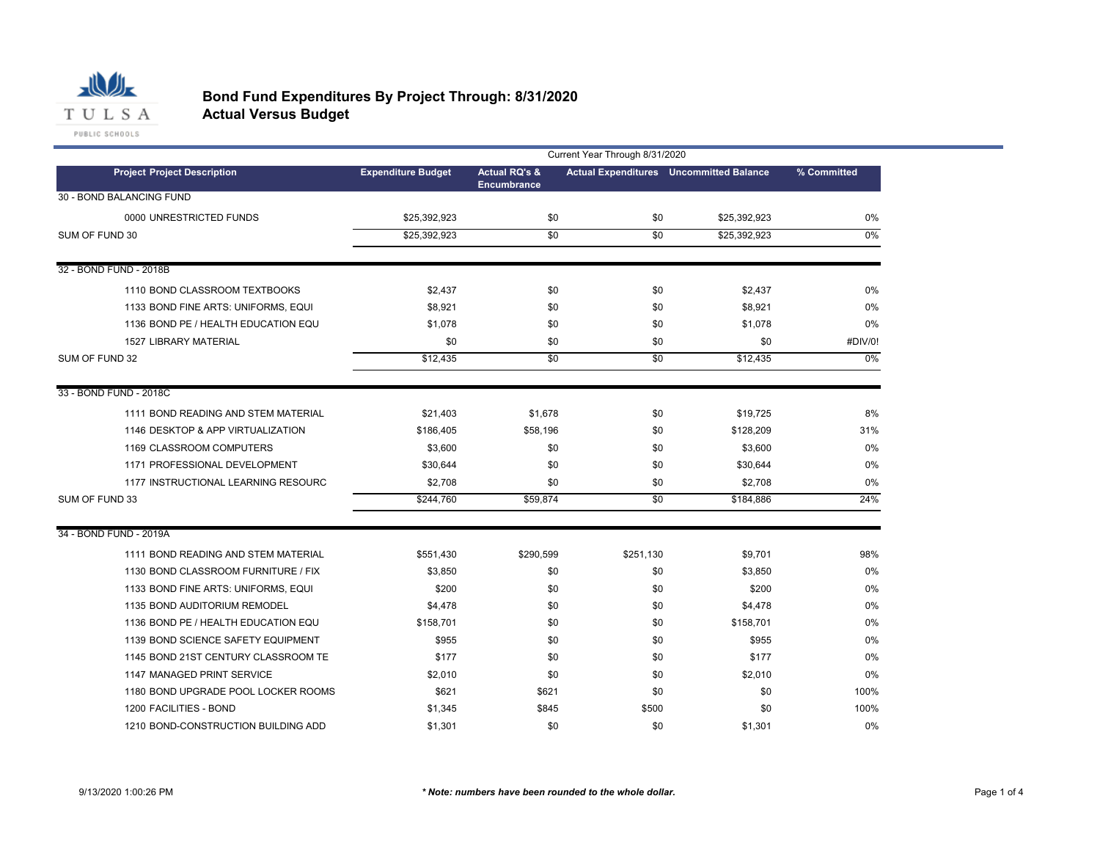

# **Bond Fund Expenditures By Project Through: 8/31/2020**

**Actual Versus Budget**

|                                     | Current Year Through 8/31/2020 |                                                |           |                                                |             |  |
|-------------------------------------|--------------------------------|------------------------------------------------|-----------|------------------------------------------------|-------------|--|
| <b>Project Project Description</b>  | <b>Expenditure Budget</b>      | <b>Actual RQ's &amp;</b><br><b>Encumbrance</b> |           | <b>Actual Expenditures</b> Uncommitted Balance | % Committed |  |
| 30 - BOND BALANCING FUND            |                                |                                                |           |                                                |             |  |
| 0000 UNRESTRICTED FUNDS             | \$25,392,923                   | \$0                                            | \$0       | \$25,392,923                                   | 0%          |  |
| SUM OF FUND 30                      | \$25,392,923                   | \$0                                            | \$0       | \$25,392,923                                   | 0%          |  |
|                                     |                                |                                                |           |                                                |             |  |
| 32 - BOND FUND - 2018B              |                                |                                                |           |                                                |             |  |
| 1110 BOND CLASSROOM TEXTBOOKS       | \$2,437                        | \$0                                            | \$0       | \$2,437                                        | 0%          |  |
| 1133 BOND FINE ARTS: UNIFORMS, EQUI | \$8,921                        | \$0                                            | \$0       | \$8,921                                        | 0%          |  |
| 1136 BOND PE / HEALTH EDUCATION EQU | \$1,078                        | \$0                                            | \$0       | \$1,078                                        | 0%          |  |
| 1527 LIBRARY MATERIAL               | \$0                            | \$0                                            | \$0       | \$0                                            | #DIV/0!     |  |
| SUM OF FUND 32                      | \$12,435                       | \$0                                            | \$0       | \$12,435                                       | 0%          |  |
|                                     |                                |                                                |           |                                                |             |  |
| 33 - BOND FUND - 2018C              |                                |                                                |           |                                                |             |  |
| 1111 BOND READING AND STEM MATERIAL | \$21,403                       | \$1,678                                        | \$0       | \$19,725                                       | 8%          |  |
| 1146 DESKTOP & APP VIRTUALIZATION   | \$186,405                      | \$58,196                                       | \$0       | \$128,209                                      | 31%         |  |
| 1169 CLASSROOM COMPUTERS            | \$3,600                        | \$0                                            | \$0       | \$3,600                                        | 0%          |  |
| 1171 PROFESSIONAL DEVELOPMENT       | \$30,644                       | \$0                                            | \$0       | \$30,644                                       | 0%          |  |
| 1177 INSTRUCTIONAL LEARNING RESOURC | \$2,708                        | \$0                                            | \$0       | \$2,708                                        | 0%          |  |
| SUM OF FUND 33                      | \$244,760                      | \$59,874                                       | \$0       | \$184,886                                      | 24%         |  |
| 34 - BOND FUND - 2019A              |                                |                                                |           |                                                |             |  |
| 1111 BOND READING AND STEM MATERIAL | \$551,430                      | \$290,599                                      | \$251,130 | \$9,701                                        | 98%         |  |
| 1130 BOND CLASSROOM FURNITURE / FIX | \$3,850                        | \$0                                            | \$0       | \$3,850                                        | 0%          |  |
| 1133 BOND FINE ARTS: UNIFORMS, EQUI | \$200                          | \$0                                            | \$0       | \$200                                          | 0%          |  |
| 1135 BOND AUDITORIUM REMODEL        | \$4,478                        | \$0                                            | \$0       | \$4,478                                        | 0%          |  |
| 1136 BOND PE / HEALTH EDUCATION EQU | \$158,701                      | \$0                                            | \$0       | \$158,701                                      | 0%          |  |
| 1139 BOND SCIENCE SAFETY EQUIPMENT  | \$955                          | \$0                                            | \$0       | \$955                                          | 0%          |  |
| 1145 BOND 21ST CENTURY CLASSROOM TE | \$177                          | \$0                                            | \$0       | \$177                                          | 0%          |  |
| 1147 MANAGED PRINT SERVICE          | \$2,010                        | \$0                                            | \$0       | \$2,010                                        | 0%          |  |
| 1180 BOND UPGRADE POOL LOCKER ROOMS | \$621                          | \$621                                          | \$0       | \$0                                            | 100%        |  |
| 1200 FACILITIES - BOND              | \$1,345                        | \$845                                          | \$500     | \$0                                            | 100%        |  |
| 1210 BOND-CONSTRUCTION BUILDING ADD | \$1,301                        | \$0                                            | \$0       | \$1,301                                        | 0%          |  |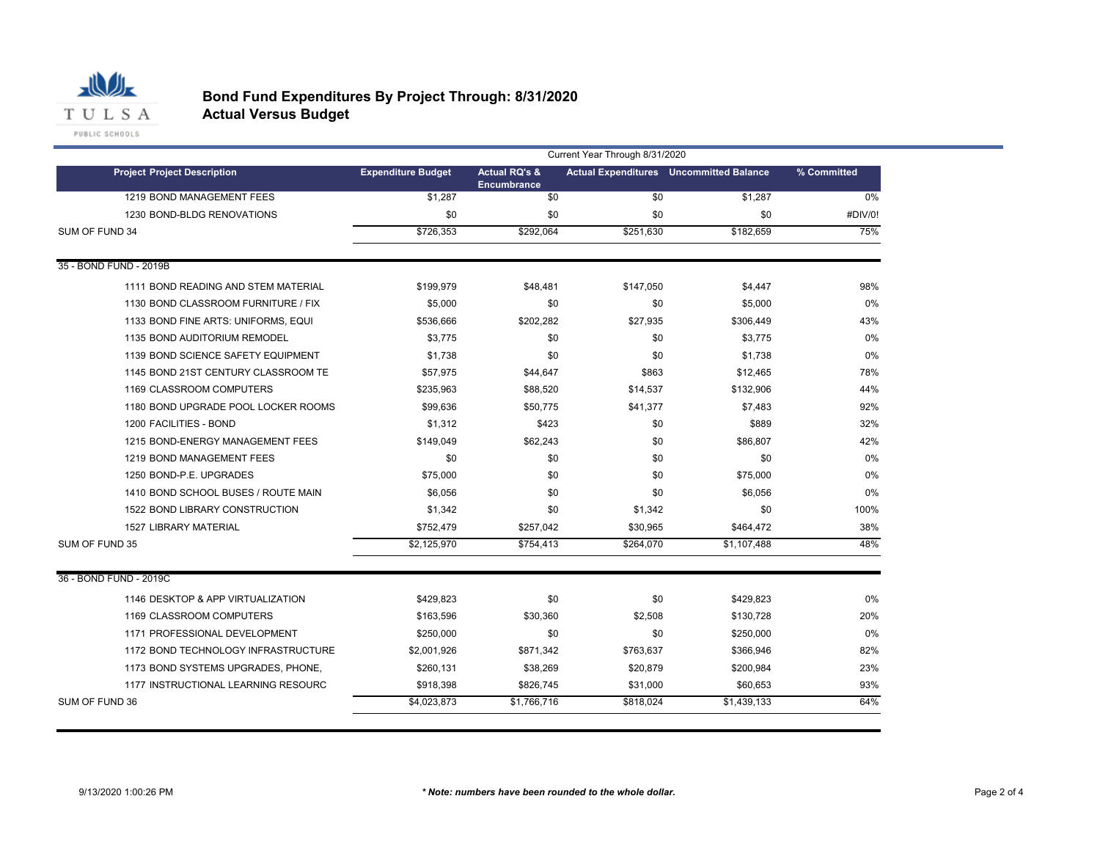

#### **Bond Fund Expenditures By Project Through: 8/31/2020 Actual Versus Budget**

PUBLIC SCHOOLS

|                                     | Current Year Through 8/31/2020 |                                                |           |                                                |             |  |  |
|-------------------------------------|--------------------------------|------------------------------------------------|-----------|------------------------------------------------|-------------|--|--|
| <b>Project Project Description</b>  | <b>Expenditure Budget</b>      | <b>Actual RQ's &amp;</b><br><b>Encumbrance</b> |           | <b>Actual Expenditures</b> Uncommitted Balance | % Committed |  |  |
| 1219 BOND MANAGEMENT FEES           | \$1,287                        | \$0                                            | \$0       | \$1,287                                        | 0%          |  |  |
| 1230 BOND-BLDG RENOVATIONS          | \$0                            | \$0                                            | \$0       | \$0                                            | #DIV/0!     |  |  |
| SUM OF FUND 34                      | \$726.353                      | \$292.064                                      | \$251.630 | \$182.659                                      | 75%         |  |  |
| 35 - BOND FUND - 2019B              |                                |                                                |           |                                                |             |  |  |
| 1111 BOND READING AND STEM MATERIAL | \$199,979                      | \$48,481                                       | \$147,050 | \$4,447                                        | 98%         |  |  |
| 1130 BOND CLASSROOM FURNITURE / FIX | \$5,000                        | \$0                                            | \$0       | \$5,000                                        | 0%          |  |  |
| 1133 BOND FINE ARTS: UNIFORMS, EQUI | \$536,666                      | \$202,282                                      | \$27,935  | \$306,449                                      | 43%         |  |  |
| 1135 BOND AUDITORIUM REMODEL        | \$3.775                        | \$0                                            | \$0       | \$3,775                                        | $0\%$       |  |  |
| 1139 BOND SCIENCE SAFETY EQUIPMENT  | \$1,738                        | \$0                                            | \$0       | \$1,738                                        | 0%          |  |  |
| 1145 BOND 21ST CENTURY CLASSROOM TE | \$57,975                       | \$44,647                                       | \$863     | \$12,465                                       | 78%         |  |  |
| 1169 CLASSROOM COMPUTERS            | \$235,963                      | \$88,520                                       | \$14,537  | \$132,906                                      | 44%         |  |  |
| 1180 BOND UPGRADE POOL LOCKER ROOMS | \$99,636                       | \$50,775                                       | \$41,377  | \$7,483                                        | 92%         |  |  |
| 1200 FACILITIES - BOND              | \$1,312                        | \$423                                          | \$0       | \$889                                          | 32%         |  |  |
| 1215 BOND-ENERGY MANAGEMENT FEES    | \$149,049                      | \$62,243                                       | \$0       | \$86,807                                       | 42%         |  |  |
| 1219 BOND MANAGEMENT FEES           | \$0                            | \$0                                            | \$0       | \$0                                            | $0\%$       |  |  |
| 1250 BOND-P.E. UPGRADES             | \$75,000                       | \$0                                            | \$0       | \$75,000                                       | 0%          |  |  |
| 1410 BOND SCHOOL BUSES / ROUTE MAIN | \$6,056                        | \$0                                            | \$0       | \$6,056                                        | 0%          |  |  |
| 1522 BOND LIBRARY CONSTRUCTION      | \$1,342                        | \$0                                            | \$1,342   | \$0                                            | 100%        |  |  |
| <b>1527 LIBRARY MATERIAL</b>        | \$752,479                      | \$257,042                                      | \$30,965  | \$464,472                                      | 38%         |  |  |
| SUM OF FUND 35                      | \$2,125,970                    | \$754,413                                      | \$264,070 | \$1,107,488                                    | 48%         |  |  |
| 36 - BOND FUND - 2019C              |                                |                                                |           |                                                |             |  |  |
| 1146 DESKTOP & APP VIRTUALIZATION   | \$429,823                      | \$0                                            | \$0       | \$429,823                                      | 0%          |  |  |
| 1169 CLASSROOM COMPUTERS            | \$163,596                      | \$30,360                                       | \$2,508   | \$130,728                                      | 20%         |  |  |
| 1171 PROFESSIONAL DEVELOPMENT       | \$250,000                      | \$0                                            | \$0       | \$250,000                                      | 0%          |  |  |
| 1172 BOND TECHNOLOGY INFRASTRUCTURE | \$2,001,926                    | \$871,342                                      | \$763,637 | \$366,946                                      | 82%         |  |  |
| 1173 BOND SYSTEMS UPGRADES, PHONE,  | \$260,131                      | \$38,269                                       | \$20,879  | \$200,984                                      | 23%         |  |  |
| 1177 INSTRUCTIONAL LEARNING RESOURC | \$918,398                      | \$826,745                                      | \$31,000  | \$60,653                                       | 93%         |  |  |
| SUM OF FUND 36                      | \$4,023,873                    | \$1,766,716                                    | \$818,024 | \$1,439,133                                    | 64%         |  |  |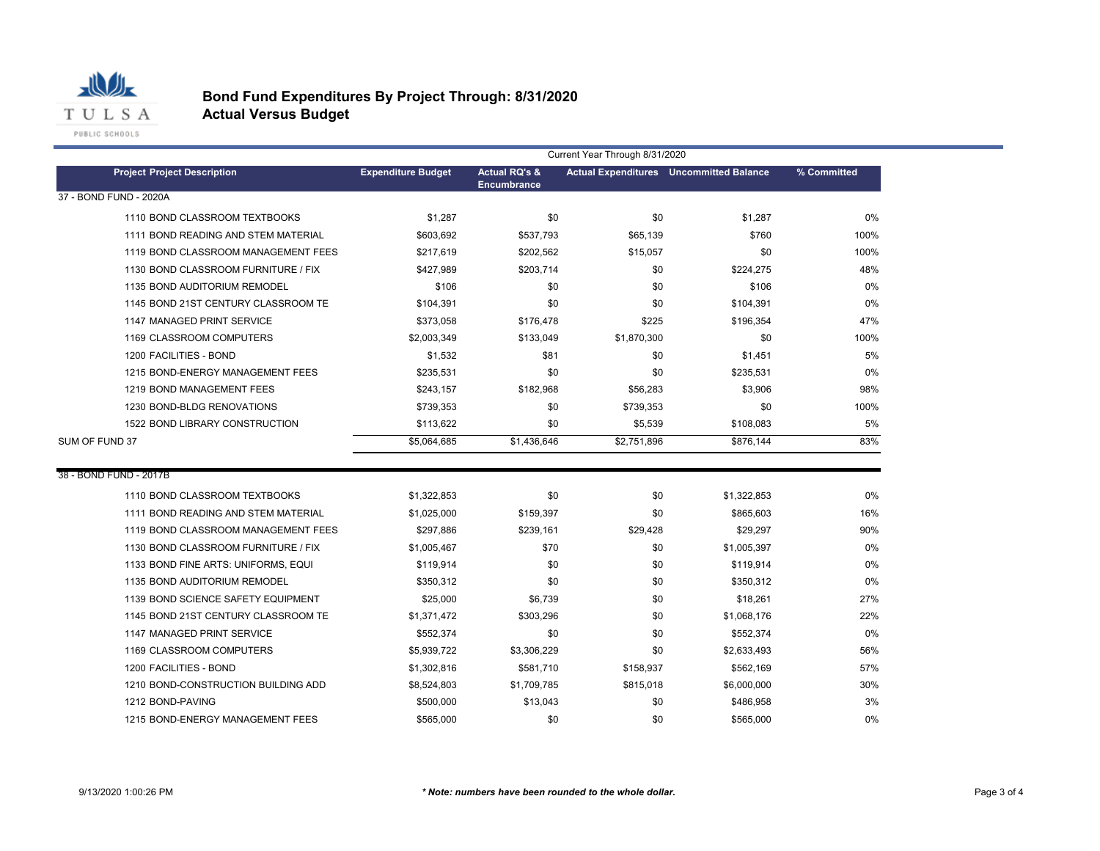

# **Bond Fund Expenditures By Project Through: 8/31/2020**

**Actual Versus Budget**

|                                     | Current Year Through 8/31/2020 |                                                |             |                                                |             |
|-------------------------------------|--------------------------------|------------------------------------------------|-------------|------------------------------------------------|-------------|
| <b>Project Project Description</b>  | <b>Expenditure Budget</b>      | <b>Actual RQ's &amp;</b><br><b>Encumbrance</b> |             | <b>Actual Expenditures</b> Uncommitted Balance | % Committed |
| 37 - BOND FUND - 2020A              |                                |                                                |             |                                                |             |
| 1110 BOND CLASSROOM TEXTBOOKS       | \$1,287                        | \$0                                            | \$0         | \$1,287                                        | 0%          |
| 1111 BOND READING AND STEM MATERIAL | \$603,692                      | \$537,793                                      | \$65,139    | \$760                                          | 100%        |
| 1119 BOND CLASSROOM MANAGEMENT FEES | \$217,619                      | \$202,562                                      | \$15,057    | \$0                                            | 100%        |
| 1130 BOND CLASSROOM FURNITURE / FIX | \$427,989                      | \$203,714                                      | \$0         | \$224,275                                      | 48%         |
| 1135 BOND AUDITORIUM REMODEL        | \$106                          | \$0                                            | \$0         | \$106                                          | 0%          |
| 1145 BOND 21ST CENTURY CLASSROOM TE | \$104,391                      | \$0                                            | \$0         | \$104,391                                      | 0%          |
| 1147 MANAGED PRINT SERVICE          | \$373,058                      | \$176,478                                      | \$225       | \$196,354                                      | 47%         |
| 1169 CLASSROOM COMPUTERS            | \$2,003,349                    | \$133,049                                      | \$1,870,300 | \$0                                            | 100%        |
| 1200 FACILITIES - BOND              | \$1,532                        | \$81                                           | \$0         | \$1,451                                        | 5%          |
| 1215 BOND-ENERGY MANAGEMENT FEES    | \$235,531                      | \$0                                            | \$0         | \$235,531                                      | 0%          |
| 1219 BOND MANAGEMENT FEES           | \$243,157                      | \$182,968                                      | \$56,283    | \$3,906                                        | 98%         |
| 1230 BOND-BLDG RENOVATIONS          | \$739,353                      | \$0                                            | \$739,353   | \$0                                            | 100%        |
| 1522 BOND LIBRARY CONSTRUCTION      | \$113,622                      | \$0                                            | \$5,539     | \$108,083                                      | 5%          |
| SUM OF FUND 37                      | \$5,064,685                    | \$1,436,646                                    | \$2,751,896 | \$876,144                                      | 83%         |
|                                     |                                |                                                |             |                                                |             |
| 38 - BOND FUND - 2017B              |                                |                                                |             |                                                |             |
| 1110 BOND CLASSROOM TEXTBOOKS       | \$1,322,853                    | \$0                                            | \$0         | \$1,322,853                                    | 0%          |
| 1111 BOND READING AND STEM MATERIAL | \$1,025,000                    | \$159,397                                      | \$0         | \$865,603                                      | 16%         |
| 1119 BOND CLASSROOM MANAGEMENT FEES | \$297,886                      | \$239,161                                      | \$29,428    | \$29,297                                       | 90%         |
| 1130 BOND CLASSROOM FURNITURE / FIX | \$1,005,467                    | \$70                                           | \$0         | \$1,005,397                                    | 0%          |
| 1133 BOND FINE ARTS: UNIFORMS, EQUI | \$119,914                      | \$0                                            | \$0         | \$119,914                                      | 0%          |
| 1135 BOND AUDITORIUM REMODEL        | \$350,312                      | \$0                                            | \$0         | \$350,312                                      | 0%          |
| 1139 BOND SCIENCE SAFETY EQUIPMENT  | \$25,000                       | \$6,739                                        | \$0         | \$18,261                                       | 27%         |
| 1145 BOND 21ST CENTURY CLASSROOM TE | \$1,371,472                    | \$303,296                                      | \$0         | \$1,068,176                                    | 22%         |
| 1147 MANAGED PRINT SERVICE          | \$552,374                      | \$0                                            | \$0         | \$552,374                                      | 0%          |
| 1169 CLASSROOM COMPUTERS            | \$5,939,722                    | \$3,306,229                                    | \$0         | \$2,633,493                                    | 56%         |
| 1200 FACILITIES - BOND              | \$1,302,816                    | \$581,710                                      | \$158,937   | \$562,169                                      | 57%         |
| 1210 BOND-CONSTRUCTION BUILDING ADD | \$8,524,803                    | \$1,709,785                                    | \$815,018   | \$6,000,000                                    | 30%         |
| 1212 BOND-PAVING                    | \$500,000                      | \$13,043                                       | \$0         | \$486,958                                      | 3%          |
| 1215 BOND-ENERGY MANAGEMENT FEES    | \$565,000                      | \$0                                            | \$0         | \$565.000                                      | 0%          |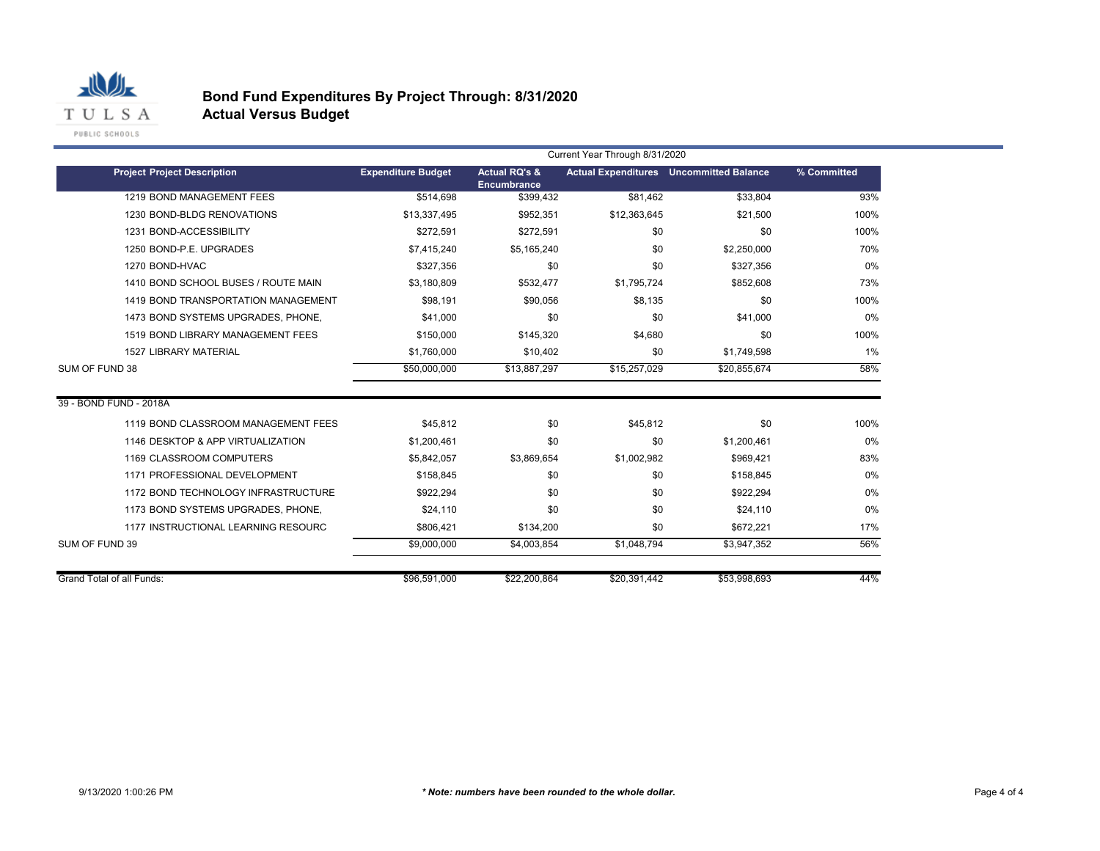

# **Bond Fund Expenditures By Project Through: 8/31/2020**

**Actual Versus Budget**

|                                     | Current Year Through 8/31/2020 |                                                |              |                                                |             |  |  |  |
|-------------------------------------|--------------------------------|------------------------------------------------|--------------|------------------------------------------------|-------------|--|--|--|
| <b>Project Project Description</b>  | <b>Expenditure Budget</b>      | <b>Actual RQ's &amp;</b><br><b>Encumbrance</b> |              | <b>Actual Expenditures</b> Uncommitted Balance | % Committed |  |  |  |
| 1219 BOND MANAGEMENT FEES           | \$514.698                      | \$399.432                                      | \$81.462     | \$33.804                                       | 93%         |  |  |  |
| 1230 BOND-BLDG RENOVATIONS          | \$13,337,495                   | \$952,351                                      | \$12,363,645 | \$21,500                                       | 100%        |  |  |  |
| 1231 BOND-ACCESSIBILITY             | \$272,591                      | \$272,591                                      | \$0          | \$0                                            | 100%        |  |  |  |
| 1250 BOND-P.E. UPGRADES             | \$7,415,240                    | \$5,165,240                                    | \$0          | \$2,250,000                                    | 70%         |  |  |  |
| 1270 BOND-HVAC                      | \$327.356                      | \$0                                            | \$0          | \$327.356                                      | 0%          |  |  |  |
| 1410 BOND SCHOOL BUSES / ROUTE MAIN | \$3,180,809                    | \$532,477                                      | \$1.795.724  | \$852,608                                      | 73%         |  |  |  |
| 1419 BOND TRANSPORTATION MANAGEMENT | \$98,191                       | \$90,056                                       | \$8.135      | \$0                                            | 100%        |  |  |  |
| 1473 BOND SYSTEMS UPGRADES, PHONE,  | \$41,000                       | \$0                                            | \$0          | \$41,000                                       | 0%          |  |  |  |
| 1519 BOND LIBRARY MANAGEMENT FEES   | \$150,000                      | \$145.320                                      | \$4.680      | \$0                                            | 100%        |  |  |  |
| <b>1527 LIBRARY MATERIAL</b>        | \$1,760,000                    | \$10,402                                       | \$0          | \$1,749,598                                    | $1\%$       |  |  |  |
| SUM OF FUND 38                      | \$50,000,000                   | \$13,887,297                                   | \$15,257,029 | \$20,855,674                                   | 58%         |  |  |  |
| 39 - BOND FUND - 2018A              |                                |                                                |              |                                                |             |  |  |  |
| 1119 BOND CLASSROOM MANAGEMENT FEES | \$45,812                       | \$0                                            | \$45,812     | \$0                                            | 100%        |  |  |  |
| 1146 DESKTOP & APP VIRTUALIZATION   | \$1,200,461                    | \$0                                            | \$0          | \$1,200,461                                    | 0%          |  |  |  |
| 1169 CLASSROOM COMPUTERS            | \$5,842,057                    | \$3,869,654                                    | \$1,002,982  | \$969,421                                      | 83%         |  |  |  |
| 1171 PROFESSIONAL DEVELOPMENT       | \$158.845                      | \$0                                            | \$0          | \$158.845                                      | 0%          |  |  |  |
| 1172 BOND TECHNOLOGY INFRASTRUCTURE | \$922.294                      | \$0                                            | \$0          | \$922.294                                      | 0%          |  |  |  |
| 1173 BOND SYSTEMS UPGRADES, PHONE,  | \$24,110                       | \$0                                            | \$0          | \$24,110                                       | 0%          |  |  |  |
| 1177 INSTRUCTIONAL LEARNING RESOURC | \$806,421                      | \$134,200                                      | \$0          | \$672,221                                      | 17%         |  |  |  |
|                                     | \$9,000,000                    | \$4,003,854                                    | \$1,048,794  | \$3,947,352                                    | 56%         |  |  |  |
| SUM OF FUND 39                      |                                |                                                |              |                                                |             |  |  |  |